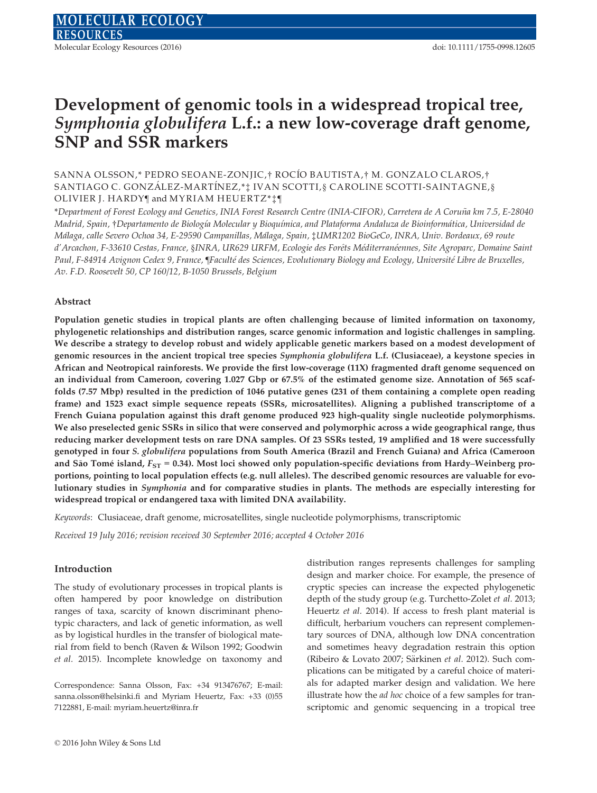# Development of genomic tools in a widespread tropical tree, Symphonia globulifera L.f.: a new low-coverage draft genome, SNP and SSR markers

# SANNA OLSSON,\* PEDRO SEOANE-ZONJIC,† ROCIO BAUTISTA,† M. GONZALO CLAROS,† SANTIAGO C. GONZÁLEZ-MARTÍNEZ,\*‡ IVAN SCOTTI,§ CAROLINE SCOTTI-SAINTAGNE,§ OLIVIER J. HARDY¶ and MYRIAM HEUERTZ\*‡¶

\*Department of Forest Ecology and Genetics, INIA Forest Research Centre (INIA-CIFOR), Carretera de A Coruna km 7.5, E-28040 ~ Madrid, Spain, †Departamento de Biología Molecular y Bioquímica, and Plataforma Andaluza de Bioinformática, Universidad de Málaga, calle Severo Ochoa 34, E-29590 Campanillas, Málaga, Spain, ‡UMR1202 BioGeCo, INRA, Univ. Bordeaux, 69 route d'Arcachon, F-33610 Cestas, France, §INRA, UR629 URFM, Ecologie des Forêts Méditerranéennes, Site Agroparc, Domaine Saint Paul, F-84914 Avignon Cedex 9, France, ¶Faculté des Sciences, Evolutionary Biology and Ecology, Université Libre de Bruxelles, Av. F.D. Roosevelt 50, CP 160/12, B-1050 Brussels, Belgium

#### Abstract

Population genetic studies in tropical plants are often challenging because of limited information on taxonomy, phylogenetic relationships and distribution ranges, scarce genomic information and logistic challenges in sampling. We describe a strategy to develop robust and widely applicable genetic markers based on a modest development of genomic resources in the ancient tropical tree species Symphonia globulifera L.f. (Clusiaceae), a keystone species in African and Neotropical rainforests. We provide the first low-coverage (11X) fragmented draft genome sequenced on an individual from Cameroon, covering 1.027 Gbp or 67.5% of the estimated genome size. Annotation of 565 scaffolds (7.57 Mbp) resulted in the prediction of 1046 putative genes (231 of them containing a complete open reading frame) and 1523 exact simple sequence repeats (SSRs, microsatellites). Aligning a published transcriptome of a French Guiana population against this draft genome produced 923 high-quality single nucleotide polymorphisms. We also preselected genic SSRs in silico that were conserved and polymorphic across a wide geographical range, thus reducing marker development tests on rare DNA samples. Of 23 SSRs tested, 19 amplified and 18 were successfully genotyped in four S. globulifera populations from South America (Brazil and French Guiana) and Africa (Cameroon and São Tomé island,  $F_{ST}$  = 0.34). Most loci showed only population-specific deviations from Hardy–Weinberg proportions, pointing to local population effects (e.g. null alleles). The described genomic resources are valuable for evolutionary studies in Symphonia and for comparative studies in plants. The methods are especially interesting for widespread tropical or endangered taxa with limited DNA availability.

Keywords: Clusiaceae, draft genome, microsatellites, single nucleotide polymorphisms, transcriptomic

Received 19 July 2016; revision received 30 September 2016; accepted 4 October 2016

#### Introduction

The study of evolutionary processes in tropical plants is often hampered by poor knowledge on distribution ranges of taxa, scarcity of known discriminant phenotypic characters, and lack of genetic information, as well as by logistical hurdles in the transfer of biological material from field to bench (Raven & Wilson 1992; Goodwin et al. 2015). Incomplete knowledge on taxonomy and

Correspondence: Sanna Olsson, Fax: +34 913476767; E-mail: sanna.olsson@helsinki.fi and Myriam Heuertz, Fax: +33 (0)55 7122881, E-mail: myriam.heuertz@inra.fr

distribution ranges represents challenges for sampling design and marker choice. For example, the presence of cryptic species can increase the expected phylogenetic depth of the study group (e.g. Turchetto-Zolet et al. 2013; Heuertz et al. 2014). If access to fresh plant material is difficult, herbarium vouchers can represent complementary sources of DNA, although low DNA concentration and sometimes heavy degradation restrain this option (Ribeiro & Lovato 2007; Särkinen et al. 2012). Such complications can be mitigated by a careful choice of materials for adapted marker design and validation. We here illustrate how the *ad hoc* choice of a few samples for transcriptomic and genomic sequencing in a tropical tree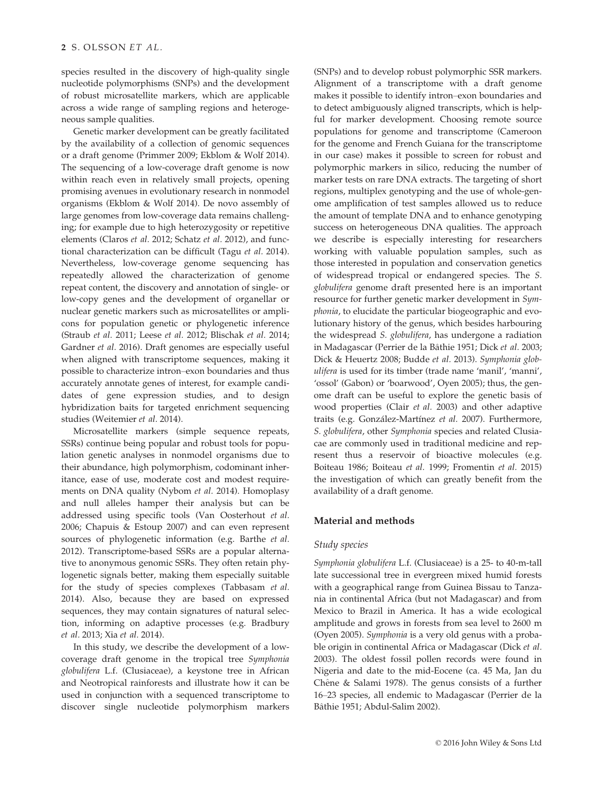species resulted in the discovery of high-quality single nucleotide polymorphisms (SNPs) and the development of robust microsatellite markers, which are applicable across a wide range of sampling regions and heterogeneous sample qualities.

Genetic marker development can be greatly facilitated by the availability of a collection of genomic sequences or a draft genome (Primmer 2009; Ekblom & Wolf 2014). The sequencing of a low-coverage draft genome is now within reach even in relatively small projects, opening promising avenues in evolutionary research in nonmodel organisms (Ekblom & Wolf 2014). De novo assembly of large genomes from low-coverage data remains challenging; for example due to high heterozygosity or repetitive elements (Claros et al. 2012; Schatz et al. 2012), and functional characterization can be difficult (Tagu et al. 2014). Nevertheless, low-coverage genome sequencing has repeatedly allowed the characterization of genome repeat content, the discovery and annotation of single- or low-copy genes and the development of organellar or nuclear genetic markers such as microsatellites or amplicons for population genetic or phylogenetic inference (Straub et al. 2011; Leese et al. 2012; Blischak et al. 2014; Gardner et al. 2016). Draft genomes are especially useful when aligned with transcriptome sequences, making it possible to characterize intron–exon boundaries and thus accurately annotate genes of interest, for example candidates of gene expression studies, and to design hybridization baits for targeted enrichment sequencing studies (Weitemier et al. 2014).

Microsatellite markers (simple sequence repeats, SSRs) continue being popular and robust tools for population genetic analyses in nonmodel organisms due to their abundance, high polymorphism, codominant inheritance, ease of use, moderate cost and modest requirements on DNA quality (Nybom et al. 2014). Homoplasy and null alleles hamper their analysis but can be addressed using specific tools (Van Oosterhout et al. 2006; Chapuis & Estoup 2007) and can even represent sources of phylogenetic information (e.g. Barthe *et al.* 2012). Transcriptome-based SSRs are a popular alternative to anonymous genomic SSRs. They often retain phylogenetic signals better, making them especially suitable for the study of species complexes (Tabbasam et al. 2014). Also, because they are based on expressed sequences, they may contain signatures of natural selection, informing on adaptive processes (e.g. Bradbury et al. 2013; Xia et al. 2014).

In this study, we describe the development of a lowcoverage draft genome in the tropical tree Symphonia globulifera L.f. (Clusiaceae), a keystone tree in African and Neotropical rainforests and illustrate how it can be used in conjunction with a sequenced transcriptome to discover single nucleotide polymorphism markers

(SNPs) and to develop robust polymorphic SSR markers. Alignment of a transcriptome with a draft genome makes it possible to identify intron–exon boundaries and to detect ambiguously aligned transcripts, which is helpful for marker development. Choosing remote source populations for genome and transcriptome (Cameroon for the genome and French Guiana for the transcriptome in our case) makes it possible to screen for robust and polymorphic markers in silico, reducing the number of marker tests on rare DNA extracts. The targeting of short regions, multiplex genotyping and the use of whole-genome amplification of test samples allowed us to reduce the amount of template DNA and to enhance genotyping success on heterogeneous DNA qualities. The approach we describe is especially interesting for researchers working with valuable population samples, such as those interested in population and conservation genetics of widespread tropical or endangered species. The S. globulifera genome draft presented here is an important resource for further genetic marker development in Symphonia, to elucidate the particular biogeographic and evolutionary history of the genus, which besides harbouring the widespread S. globulifera, has undergone a radiation in Madagascar (Perrier de la Bâthie 1951; Dick et al. 2003; Dick & Heuertz 2008; Budde et al. 2013). Symphonia globulifera is used for its timber (trade name 'manil', 'manni', 'ossol' (Gabon) or 'boarwood', Oyen 2005); thus, the genome draft can be useful to explore the genetic basis of wood properties (Clair et al. 2003) and other adaptive traits (e.g. González-Martínez et al. 2007). Furthermore, S. globulifera, other Symphonia species and related Clusiacae are commonly used in traditional medicine and represent thus a reservoir of bioactive molecules (e.g. Boiteau 1986; Boiteau et al. 1999; Fromentin et al. 2015) the investigation of which can greatly benefit from the availability of a draft genome.

# Material and methods

#### Study species

Symphonia globulifera L.f. (Clusiaceae) is a 25- to 40-m-tall late successional tree in evergreen mixed humid forests with a geographical range from Guinea Bissau to Tanzania in continental Africa (but not Madagascar) and from Mexico to Brazil in America. It has a wide ecological amplitude and grows in forests from sea level to 2600 m (Oyen 2005). Symphonia is a very old genus with a probable origin in continental Africa or Madagascar (Dick et al. 2003). The oldest fossil pollen records were found in Nigeria and date to the mid-Eocene (ca. 45 Ma, Jan du Chêne & Salami 1978). The genus consists of a further 16–23 species, all endemic to Madagascar (Perrier de la Bâthie 1951; Abdul-Salim 2002).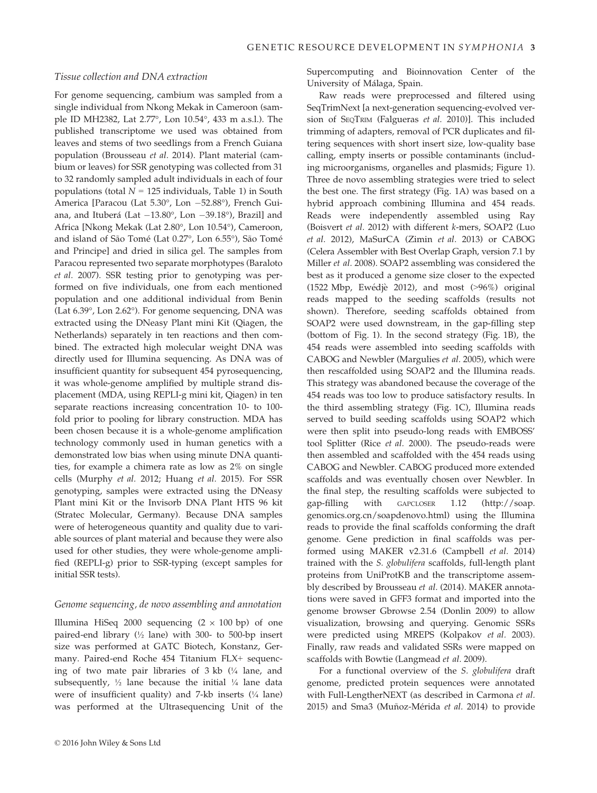# Tissue collection and DNA extraction

For genome sequencing, cambium was sampled from a single individual from Nkong Mekak in Cameroon (sample ID MH2382, Lat 2.77°, Lon 10.54°, 433 m a.s.l.). The published transcriptome we used was obtained from leaves and stems of two seedlings from a French Guiana population (Brousseau et al. 2014). Plant material (cambium or leaves) for SSR genotyping was collected from 31 to 32 randomly sampled adult individuals in each of four populations (total  $N = 125$  individuals, Table 1) in South America [Paracou (Lat 5.30°, Lon -52.88°), French Guiana, and Ituberá (Lat  $-13.80^{\circ}$ , Lon  $-39.18^{\circ}$ ), Brazil] and Africa [Nkong Mekak (Lat 2.80°, Lon 10.54°), Cameroon, and island of São Tomé (Lat 0.27°, Lon 6.55°), São Tomé and Principe] and dried in silica gel. The samples from Paracou represented two separate morphotypes (Baraloto et al. 2007). SSR testing prior to genotyping was performed on five individuals, one from each mentioned population and one additional individual from Benin (Lat 6.39°, Lon 2.62°). For genome sequencing, DNA was extracted using the DNeasy Plant mini Kit (Qiagen, the Netherlands) separately in ten reactions and then combined. The extracted high molecular weight DNA was directly used for Illumina sequencing. As DNA was of insufficient quantity for subsequent 454 pyrosequencing, it was whole-genome amplified by multiple strand displacement (MDA, using REPLI-g mini kit, Qiagen) in ten separate reactions increasing concentration 10- to 100 fold prior to pooling for library construction. MDA has been chosen because it is a whole-genome amplification technology commonly used in human genetics with a demonstrated low bias when using minute DNA quantities, for example a chimera rate as low as 2% on single cells (Murphy et al. 2012; Huang et al. 2015). For SSR genotyping, samples were extracted using the DNeasy Plant mini Kit or the Invisorb DNA Plant HTS 96 kit (Stratec Molecular, Germany). Because DNA samples were of heterogeneous quantity and quality due to variable sources of plant material and because they were also used for other studies, they were whole-genome amplified (REPLI-g) prior to SSR-typing (except samples for initial SSR tests).

#### Genome sequencing, de novo assembling and annotation

Illumina HiSeq 2000 sequencing  $(2 \times 100 \text{ bp})$  of one paired-end library (½ lane) with 300- to 500-bp insert size was performed at GATC Biotech, Konstanz, Germany. Paired-end Roche 454 Titanium FLX+ sequencing of two mate pair libraries of 3 kb (¼ lane, and subsequently,  $\frac{1}{2}$  lane because the initial  $\frac{1}{4}$  lane data were of insufficient quality) and 7-kb inserts  $(\frac{1}{4}$  lane) was performed at the Ultrasequencing Unit of the Supercomputing and Bioinnovation Center of the University of Málaga, Spain.

Raw reads were preprocessed and filtered using SeqTrimNext [a next-generation sequencing-evolved version of SEQTRIM (Falgueras et al. 2010)]. This included trimming of adapters, removal of PCR duplicates and filtering sequences with short insert size, low-quality base calling, empty inserts or possible contaminants (including microorganisms, organelles and plasmids; Figure 1). Three de novo assembling strategies were tried to select the best one. The first strategy (Fig. 1A) was based on a hybrid approach combining Illumina and 454 reads. Reads were independently assembled using Ray (Boisvert et al. 2012) with different k-mers, SOAP2 (Luo et al. 2012), MaSurCA (Zimin et al. 2013) or CABOG (Celera Assembler with Best Overlap Graph, version 7.1 by Miller et al. 2008). SOAP2 assembling was considered the best as it produced a genome size closer to the expected (1522 Mbp, Ewedje 2012), and most (>96%) original reads mapped to the seeding scaffolds (results not shown). Therefore, seeding scaffolds obtained from SOAP2 were used downstream, in the gap-filling step (bottom of Fig. 1). In the second strategy (Fig. 1B), the 454 reads were assembled into seeding scaffolds with CABOG and Newbler (Margulies et al. 2005), which were then rescaffolded using SOAP2 and the Illumina reads. This strategy was abandoned because the coverage of the 454 reads was too low to produce satisfactory results. In the third assembling strategy (Fig. 1C), Illumina reads served to build seeding scaffolds using SOAP2 which were then split into pseudo-long reads with EMBOSS' tool Splitter (Rice et al. 2000). The pseudo-reads were then assembled and scaffolded with the 454 reads using CABOG and Newbler. CABOG produced more extended scaffolds and was eventually chosen over Newbler. In the final step, the resulting scaffolds were subjected to gap-filling with GAPCLOSER 1.12 ([http://soap.](http://soap.genomics.org.cn/soapdenovo.html) [genomics.org.cn/soapdenovo.html\)](http://soap.genomics.org.cn/soapdenovo.html) using the Illumina reads to provide the final scaffolds conforming the draft genome. Gene prediction in final scaffolds was performed using MAKER v2.31.6 (Campbell et al. 2014) trained with the S. globulifera scaffolds, full-length plant proteins from UniProtKB and the transcriptome assembly described by Brousseau et al. (2014). MAKER annotations were saved in GFF3 format and imported into the genome browser Gbrowse 2.54 (Donlin 2009) to allow visualization, browsing and querying. Genomic SSRs were predicted using MREPS (Kolpakov et al. 2003). Finally, raw reads and validated SSRs were mapped on scaffolds with Bowtie (Langmead et al. 2009).

For a functional overview of the S. globulifera draft genome, predicted protein sequences were annotated with Full-LengtherNEXT (as described in Carmona et al. 2015) and Sma3 (Muñoz-Mérida et al. 2014) to provide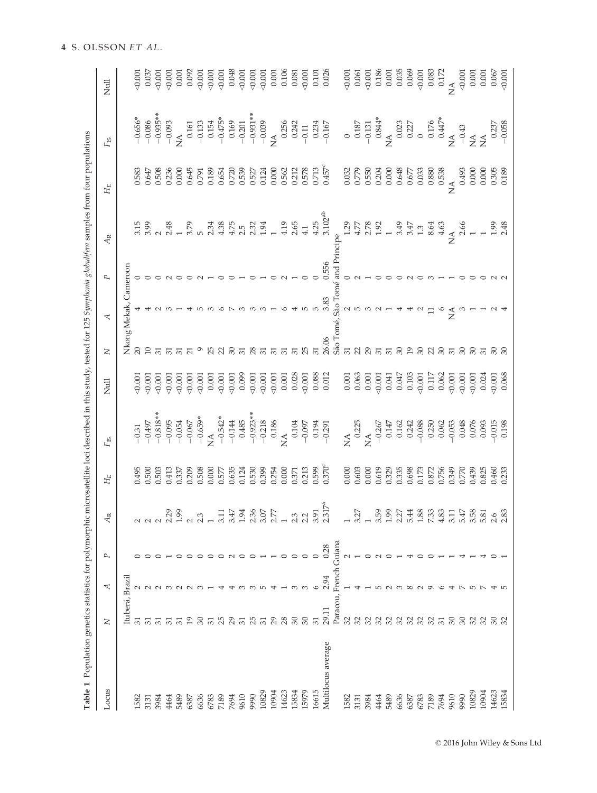| Locus              | Z               | ↸     | P             | $A_{\rm R}$                                        | $H_E$                                                             | F <sub>is</sub>                                                                                                                                                                                                                                                                                                                                                                                  | Null                                                                               | $\geq$          | ₹                     | L            | Ą                                                                              | $H_E$                                                                                                                                                                                                                                                                                               | F <sub>IS</sub> | Null                                                                                                                                                                                                                                                                                                                                                                                                                                               |
|--------------------|-----------------|-------|---------------|----------------------------------------------------|-------------------------------------------------------------------|--------------------------------------------------------------------------------------------------------------------------------------------------------------------------------------------------------------------------------------------------------------------------------------------------------------------------------------------------------------------------------------------------|------------------------------------------------------------------------------------|-----------------|-----------------------|--------------|--------------------------------------------------------------------------------|-----------------------------------------------------------------------------------------------------------------------------------------------------------------------------------------------------------------------------------------------------------------------------------------------------|-----------------|----------------------------------------------------------------------------------------------------------------------------------------------------------------------------------------------------------------------------------------------------------------------------------------------------------------------------------------------------------------------------------------------------------------------------------------------------|
|                    | Ituberá, Brazi  |       |               |                                                    |                                                                   |                                                                                                                                                                                                                                                                                                                                                                                                  |                                                                                    |                 | Nkong Mekak, Cameroon |              |                                                                                |                                                                                                                                                                                                                                                                                                     |                 |                                                                                                                                                                                                                                                                                                                                                                                                                                                    |
| 582                |                 |       |               |                                                    | 0.495                                                             |                                                                                                                                                                                                                                                                                                                                                                                                  | 50.001                                                                             |                 |                       |              | 3.15                                                                           | 0.583                                                                                                                                                                                                                                                                                               |                 |                                                                                                                                                                                                                                                                                                                                                                                                                                                    |
| 3131               | $\overline{5}$  | N N N |               |                                                    | 0.500                                                             |                                                                                                                                                                                                                                                                                                                                                                                                  | 0.001                                                                              | $\Box$          |                       |              | 3.99                                                                           | 0.647                                                                                                                                                                                                                                                                                               |                 | $\frac{0.001}{0.037}$                                                                                                                                                                                                                                                                                                                                                                                                                              |
| 3984               |                 |       |               |                                                    | 0.503                                                             |                                                                                                                                                                                                                                                                                                                                                                                                  |                                                                                    |                 |                       |              |                                                                                | 0.508                                                                                                                                                                                                                                                                                               |                 |                                                                                                                                                                                                                                                                                                                                                                                                                                                    |
| 464                |                 |       |               |                                                    | 0.413                                                             |                                                                                                                                                                                                                                                                                                                                                                                                  | $\begin{array}{l} 0.001 \\ 0.001 \\ 0.001 \end{array}$                             |                 |                       |              | 2.48                                                                           | 0.236                                                                                                                                                                                                                                                                                               |                 |                                                                                                                                                                                                                                                                                                                                                                                                                                                    |
| 5489               | $\overline{51}$ |       |               |                                                    | 0.337                                                             |                                                                                                                                                                                                                                                                                                                                                                                                  |                                                                                    |                 |                       |              |                                                                                | 0.000                                                                                                                                                                                                                                                                                               |                 |                                                                                                                                                                                                                                                                                                                                                                                                                                                    |
| 6387               | 19              |       |               |                                                    | 0.209                                                             | $\begin{array}{r} -0.31 \\ -0.497 \\ -0.818*** \\ -0.095 \\ -0.095 \\ -0.067 \\ -0.067 \\ -0.659** \\ \hline \end{array}$                                                                                                                                                                                                                                                                        |                                                                                    |                 |                       |              | 3.79                                                                           |                                                                                                                                                                                                                                                                                                     |                 |                                                                                                                                                                                                                                                                                                                                                                                                                                                    |
| 6636               | 30              |       |               | 65<br>$N N -$                                      |                                                                   |                                                                                                                                                                                                                                                                                                                                                                                                  |                                                                                    |                 |                       |              |                                                                                |                                                                                                                                                                                                                                                                                                     |                 |                                                                                                                                                                                                                                                                                                                                                                                                                                                    |
| 6783               |                 |       |               |                                                    |                                                                   |                                                                                                                                                                                                                                                                                                                                                                                                  |                                                                                    |                 |                       |              | 2.34                                                                           |                                                                                                                                                                                                                                                                                                     |                 |                                                                                                                                                                                                                                                                                                                                                                                                                                                    |
| 7189               |                 |       |               | $\sim$                                             | 0.508<br>0.000<br>0.577<br>0.635                                  |                                                                                                                                                                                                                                                                                                                                                                                                  | $\begin{array}{c} 0.001 \\ 0.001 \\ 0.001 \\ 0.001 \\ \end{array}$                 |                 |                       |              | $4.38$<br>$4.75$                                                               | $\begin{array}{c} 0.645 \\ 0.791 \\ 0.189 \\ 0.654 \\ 0.6720 \end{array}$                                                                                                                                                                                                                           |                 | $\begin{array}{l} 50 \\ 60 \\ 60 \\ \hline \end{array} \hspace{-.08cm} \begin{array}{l} 50 \\ 60 \\ 60 \\ \hline \end{array} \hspace{-.08cm} \begin{array}{l} 50 \\ 60 \\ 60 \\ \hline \end{array} \hspace{-.08cm} \begin{array}{l} 50 \\ 60 \\ 60 \\ \hline \end{array} \hspace{-.08cm} \begin{array}{l} 50 \\ 60 \\ 60 \\ \hline \end{array} \hspace{-.08cm} \begin{array}{l} 50 \\ 60 \\ 60 \\ \hline \end{array} \hspace{-.08cm} \begin{array$ |
| 7694               |                 |       |               | Д.<br>$\infty$                                     |                                                                   |                                                                                                                                                                                                                                                                                                                                                                                                  | 0.001                                                                              |                 |                       |              |                                                                                |                                                                                                                                                                                                                                                                                                     |                 |                                                                                                                                                                                                                                                                                                                                                                                                                                                    |
| 9610               |                 |       |               | 1.94                                               | 0.124                                                             |                                                                                                                                                                                                                                                                                                                                                                                                  | 0.099                                                                              |                 |                       |              | $2.\overline{3}$<br>$2.\overline{3}$<br>$1.\overline{9}$                       | $\begin{array}{c} 0.539 \\ 0.527 \\ 0.124 \\ 0.000 \\ 0.562 \\ 0.578 \\ 0.578 \\ 0.713 \\ 0.457^c \end{array}$                                                                                                                                                                                      |                 |                                                                                                                                                                                                                                                                                                                                                                                                                                                    |
| 9990               | 25              |       |               |                                                    |                                                                   |                                                                                                                                                                                                                                                                                                                                                                                                  |                                                                                    | 28              |                       |              |                                                                                |                                                                                                                                                                                                                                                                                                     |                 |                                                                                                                                                                                                                                                                                                                                                                                                                                                    |
| 10829              |                 |       |               | $2.507$<br>$2.57$<br>$2.307$<br>$2.309$<br>$2.507$ | 0.530<br>0.399<br>0.254                                           |                                                                                                                                                                                                                                                                                                                                                                                                  | $\begin{array}{c} 0.001 \\ 0.001 \\ 0.001 \end{array}$                             |                 |                       |              |                                                                                |                                                                                                                                                                                                                                                                                                     |                 |                                                                                                                                                                                                                                                                                                                                                                                                                                                    |
| 10904              | 29              |       |               |                                                    |                                                                   |                                                                                                                                                                                                                                                                                                                                                                                                  |                                                                                    | $\overline{5}$  |                       |              | $\overline{1}$                                                                 |                                                                                                                                                                                                                                                                                                     |                 |                                                                                                                                                                                                                                                                                                                                                                                                                                                    |
| 14623              | 28              |       |               |                                                    | 0.000                                                             |                                                                                                                                                                                                                                                                                                                                                                                                  |                                                                                    |                 |                       |              | 4.19                                                                           |                                                                                                                                                                                                                                                                                                     |                 |                                                                                                                                                                                                                                                                                                                                                                                                                                                    |
| 15834              | $30\,$          |       |               |                                                    |                                                                   |                                                                                                                                                                                                                                                                                                                                                                                                  |                                                                                    |                 |                       |              | 2.65                                                                           |                                                                                                                                                                                                                                                                                                     |                 |                                                                                                                                                                                                                                                                                                                                                                                                                                                    |
| 15979              | $30\,$          |       |               |                                                    |                                                                   |                                                                                                                                                                                                                                                                                                                                                                                                  |                                                                                    |                 |                       |              | 4.1                                                                            |                                                                                                                                                                                                                                                                                                     |                 |                                                                                                                                                                                                                                                                                                                                                                                                                                                    |
| 16615              | 51              | م     |               |                                                    | $\begin{array}{c} 0.371 \\ 0.213 \\ 0.599 \\ 0.370^c \end{array}$ |                                                                                                                                                                                                                                                                                                                                                                                                  | $\begin{array}{c} 0.001 \\ 0.028 \\ \hline 0.001 \\ 0.088 \\ 0.088 \\ \end{array}$ |                 |                       |              | 4.25                                                                           |                                                                                                                                                                                                                                                                                                     |                 | $\begin{array}{c} 0.106 \\ 0.081 \\ -0.001 \\ 0.101 \\ 0.026 \end{array}$                                                                                                                                                                                                                                                                                                                                                                          |
| Multilocus average | 29.11           | 2.94  | 0.28          | $317^a$<br>$\sim$                                  |                                                                   | $\begin{array}{r} -0.542^{*} \\ -0.144 \\ -0.485 \\ -0.923^{*} \\ -0.218 \\ -0.218 \\ \times \\ 0.186 \\ \times \\ 0.01 \\ -0.291 \\ -0.291 \\ -0.291 \\ \end{array}$                                                                                                                                                                                                                            |                                                                                    | 26.06           | 3.83                  | 0.556        | $3.102^{ab}$                                                                   |                                                                                                                                                                                                                                                                                                     |                 |                                                                                                                                                                                                                                                                                                                                                                                                                                                    |
|                    | Paracou,        |       | French Guiana |                                                    |                                                                   |                                                                                                                                                                                                                                                                                                                                                                                                  |                                                                                    |                 | São Tomé, São Tom     | and Principe |                                                                                |                                                                                                                                                                                                                                                                                                     |                 |                                                                                                                                                                                                                                                                                                                                                                                                                                                    |
| 1582               |                 |       |               |                                                    |                                                                   |                                                                                                                                                                                                                                                                                                                                                                                                  |                                                                                    | $\overline{51}$ |                       |              | 1.29                                                                           |                                                                                                                                                                                                                                                                                                     |                 |                                                                                                                                                                                                                                                                                                                                                                                                                                                    |
| 3131               | 3232            |       |               | 3.27                                               |                                                                   |                                                                                                                                                                                                                                                                                                                                                                                                  |                                                                                    |                 |                       |              |                                                                                |                                                                                                                                                                                                                                                                                                     |                 |                                                                                                                                                                                                                                                                                                                                                                                                                                                    |
| 3984               |                 |       |               |                                                    | $0.000$<br>$0.603$<br>$0.000$                                     |                                                                                                                                                                                                                                                                                                                                                                                                  | $\begin{array}{c} 0.001 \\ 0.063 \\ 0.001 \end{array}$                             |                 |                       |              | $7780$<br>$479$<br>$479$<br>$479$<br>$479$<br>$479$<br>$479$<br>$469$<br>$469$ | $\begin{array}{l} 0.32 \\ 0.778 \\ 0.550 \\ 0.304 \\ 0.000 \\ 0.000 \\ 0.000 \\ 0.000 \\ 0.000 \\ 0.000 \\ 0.000 \\ 0.000 \\ 0.000 \\ 0.000 \\ 0.000 \\ 0.000 \\ 0.000 \\ 0.000 \\ 0.000 \\ 0.000 \\ 0.000 \\ 0.000 \\ 0.000 \\ 0.000 \\ 0.000 \\ 0.000 \\ 0.000 \\ 0.000 \\ 0.000 \\ 0.000 \\ 0.0$ |                 |                                                                                                                                                                                                                                                                                                                                                                                                                                                    |
| 4464               | 32              |       |               | 3.5                                                | 0.619                                                             |                                                                                                                                                                                                                                                                                                                                                                                                  |                                                                                    |                 |                       |              |                                                                                |                                                                                                                                                                                                                                                                                                     |                 |                                                                                                                                                                                                                                                                                                                                                                                                                                                    |
| 5489               | 32              |       |               |                                                    | $0.329$<br>$0.335$<br>$0.698$<br>$0.173$                          |                                                                                                                                                                                                                                                                                                                                                                                                  | $\begin{array}{c} 0.001 \\ 0.041 \\ 0.047 \\ 0.103 \\ 0.103 \\ \end{array}$        |                 |                       |              |                                                                                |                                                                                                                                                                                                                                                                                                     |                 |                                                                                                                                                                                                                                                                                                                                                                                                                                                    |
| 6636               | 32              |       |               |                                                    |                                                                   |                                                                                                                                                                                                                                                                                                                                                                                                  |                                                                                    | $\mathbb{S}$    |                       |              |                                                                                |                                                                                                                                                                                                                                                                                                     |                 |                                                                                                                                                                                                                                                                                                                                                                                                                                                    |
| 6387               | 32.32           |       |               | $2.48$<br>$-1.8$                                   |                                                                   |                                                                                                                                                                                                                                                                                                                                                                                                  |                                                                                    | $\overline{5}$  |                       |              |                                                                                |                                                                                                                                                                                                                                                                                                     |                 |                                                                                                                                                                                                                                                                                                                                                                                                                                                    |
| 6783               |                 |       |               |                                                    |                                                                   |                                                                                                                                                                                                                                                                                                                                                                                                  |                                                                                    |                 |                       |              |                                                                                |                                                                                                                                                                                                                                                                                                     |                 |                                                                                                                                                                                                                                                                                                                                                                                                                                                    |
| 7189               |                 |       |               | 73<br>م                                            |                                                                   |                                                                                                                                                                                                                                                                                                                                                                                                  | 0.117                                                                              |                 |                       |              |                                                                                |                                                                                                                                                                                                                                                                                                     |                 |                                                                                                                                                                                                                                                                                                                                                                                                                                                    |
| 7694               | $\frac{5}{2}$   |       |               | $\frac{8}{4}$                                      | 0.872<br>0.756<br>0.770<br>0.439                                  |                                                                                                                                                                                                                                                                                                                                                                                                  | 0.062                                                                              | $\infty$        |                       |              |                                                                                |                                                                                                                                                                                                                                                                                                     |                 |                                                                                                                                                                                                                                                                                                                                                                                                                                                    |
| 9610               |                 |       |               |                                                    |                                                                   |                                                                                                                                                                                                                                                                                                                                                                                                  | $\frac{0.001}{0.001}$                                                              |                 | $\widetilde{\Sigma}$  |              |                                                                                |                                                                                                                                                                                                                                                                                                     |                 |                                                                                                                                                                                                                                                                                                                                                                                                                                                    |
| 9990               | 30<br>32        |       |               | 3.14.5                                             |                                                                   |                                                                                                                                                                                                                                                                                                                                                                                                  |                                                                                    | $\mathcal{S}$   |                       |              |                                                                                |                                                                                                                                                                                                                                                                                                     |                 |                                                                                                                                                                                                                                                                                                                                                                                                                                                    |
| 10829              |                 |       |               |                                                    |                                                                   |                                                                                                                                                                                                                                                                                                                                                                                                  | $-0.001$                                                                           | $\mathcal{S}$   |                       |              |                                                                                |                                                                                                                                                                                                                                                                                                     |                 |                                                                                                                                                                                                                                                                                                                                                                                                                                                    |
| 10904              | 32              |       |               | 5.8<br>5.9<br>2.83                                 | 0.825                                                             | $\begin{array}{r} \n 14 \text{ A} \\  0.225 \\  14 \text{ A} \\  0.14 \text{ B} \\  0.14 \text{ C} \\  0.14 \text{ C} \\  0.14 \text{ C} \\  0.14 \text{ C} \\  0.14 \text{ C} \\  0.14 \text{ C} \\  0.14 \text{ C} \\  0.14 \text{ C} \\  0.14 \text{ C} \\  0.14 \text{ C} \\  0.14 \text{ C} \\  0.14 \text{ C} \\  0.14 \text{ C} \\  0.14 \text{ C} \\  0.14 \text{ C} \\  0.14 \text{ C}$ | 0.024                                                                              | $\overline{5}$  |                       |              | NA<br>2.66<br>1 1<br>1.99<br>2.48                                              | 0.493<br>0.000<br>0.000<br>0.305<br>0.305                                                                                                                                                                                                                                                           |                 |                                                                                                                                                                                                                                                                                                                                                                                                                                                    |
| 14623              | $\infty$        |       |               |                                                    | 0.460                                                             |                                                                                                                                                                                                                                                                                                                                                                                                  | $-0.001$                                                                           |                 |                       |              |                                                                                |                                                                                                                                                                                                                                                                                                     |                 |                                                                                                                                                                                                                                                                                                                                                                                                                                                    |
| 15834              |                 |       |               |                                                    | 0.233                                                             |                                                                                                                                                                                                                                                                                                                                                                                                  | 0.068                                                                              |                 |                       |              |                                                                                |                                                                                                                                                                                                                                                                                                     |                 |                                                                                                                                                                                                                                                                                                                                                                                                                                                    |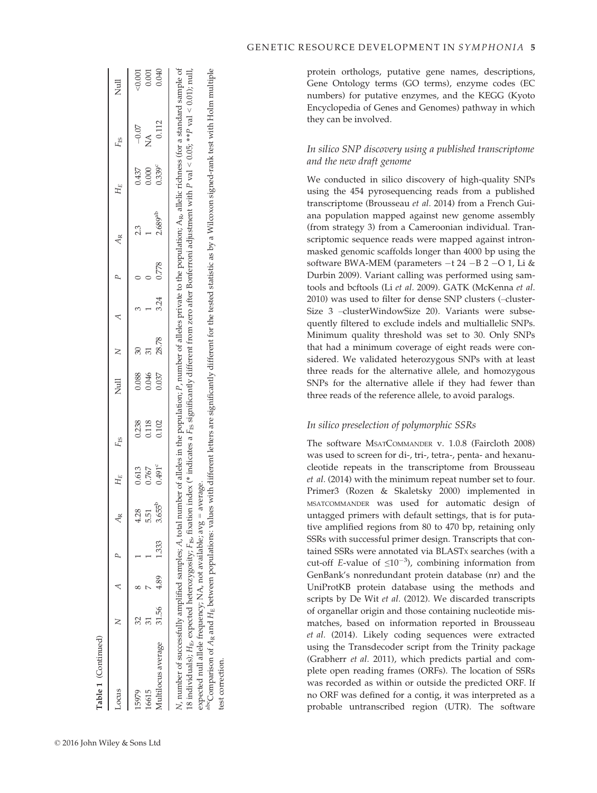<sup>the</sup>Comparison of A<sub>R</sub> and H<sub>E</sub> between populations: values with different letters are significantly different for the tested statistic as by a Wilcoxon signed-rank test with Holm multiple  $50.001$ 0.001 Multilocus average 31.56 4.89 4.89 1.333 3.655<sup>b</sup> 0.102 0.102 28.78 3.24 0.778 2.689<sup>ab</sup> 0.712 0.112 0.040 0.040 N, number of successfully amplified samples; A, total number of alleles in the population; P, number of alleles private to the population; A<sub>R</sub>, allelic richness (for a standard sample of P, number of alleles private to the population;  $A_{R}$ , allelic richness (for a standard sample of  $P$  val  $< 0.01$ ); null,  $H_{\rm E}$  between populations: values with different letters are significantly different for the tested statistic as by a Wilcoxon signed-rank test with Holm multiple  $-0.07$   $< 0.001$ 16615 31 7 1 5.51 0.767 0.118 0.046 31 1 0 1 0.000 NA 0.001 Jull<sub>2</sub>  $L_{\rm OCH3S}$  and  $A_{\rm R}$  are  $A_{\rm R}$  are  $A_{\rm R}$  are  $A_{\rm R}$  are  $H_{\rm E}$  are  $H_{\rm S}$  are  $H_{\rm S}$ 0.112  $-0.07$  $\overline{\phantom{a}}$  $\mathfrak{Z}$  $P$  val  $< 0.05$ ; \*\* F<sub>IS</sub>  $\begin{array}{c} 0.437 \\ 0.000 \\ 0.339^c \end{array}$ 15979 32 8 1 4.28 0.613 0.238 0.088 30 3 0 2.3 0.437  $H_E$  $\overline{\phantom{a}}$  $H_{\rm E}$ , expected heterozygosity;  $F_{\rm IS}$  fixation index (\* indicates a  $F_{\rm IS}$  significantly different from zero after Bonferroni adjustment with  $2.689$ <sup>ab</sup> 23  $\overline{4}$ <sub>R</sub>  $0.778$  $\overline{a}$  $\sim$  $3.24$  $\overline{\mathcal{L}}$ 28.78  $30<sub>5</sub>$  $\geq$ 0.046 0.088 0.037  $\overline{z}$ A, total number of alleles in the population;  $\begin{array}{c} 0.238 \\ 0.118 \\ 0.102 \end{array}$  $F_{\rm IS}$  $0.491^c$ 0.767 0.613  $H_{\rm E}$ expected null allele frequency; NA, not available; avg = average. expected null allele frequency; NA, not available; avg = average. 3.655<sup>b</sup>  $4.28$ <br>5.51  $\overline{A}$ 333 N, number of successfully amplified samples;  $\overline{a}$ 4.89  $\triangleleft$  $\infty$  $\sim$ 31.56  $32\,$  $\geq$ Multilocus average abcComparison of 18 individuals); Locus 15979 16615

test correction.

est correction.

protein orthologs, putative gene names, descriptions, Gene Ontology terms (GO terms), enzyme codes (EC numbers) for putative enzymes, and the KEGG (Kyoto Encyclopedia of Genes and Genomes) pathway in which they can be involved.

# In silico SNP discovery using a published transcriptome and the new draft genome

We conducted in silico discovery of high-quality SNPs using the 454 pyrosequencing reads from a published transcriptome (Brousseau et al. 2014) from a French Guiana population mapped against new genome assembly (from strategy 3) from a Cameroonian individual. Transcriptomic sequence reads were mapped against intronmasked genomic scaffolds longer than 4000 bp using the software BWA-MEM (parameters  $-t$  24  $-B$  2  $-O$  1, Li & Durbin 2009). Variant calling was performed using samtools and bcftools (Li et al. 2009). GATK (McKenna et al. 2010) was used to filter for dense SNP clusters (–cluster-Size 3 –clusterWindowSize 20). Variants were subsequently filtered to exclude indels and multiallelic SNPs. Minimum quality threshold was set to 30. Only SNPs that had a minimum coverage of eight reads were considered. We validated heterozygous SNPs with at least three reads for the alternative allele, and homozygous SNPs for the alternative allele if they had fewer than three reads of the reference allele, to avoid paralogs.

# In silico preselection of polymorphic SSRs

The software MSATCOMMANDER v. 1.0.8 (Faircloth 2008) was used to screen for di-, tri-, tetra-, penta- and hexanucleotide repeats in the transcriptome from Brousseau et al. (2014) with the minimum repeat number set to four. Primer3 (Rozen & Skaletsky 2000) implemented in MSATCOMMANDER was used for automatic design of untagged primers with default settings, that is for putative amplified regions from 80 to 470 bp, retaining only SSRs with successful primer design. Transcripts that contained SSRs were annotated via BLASTX searches (with a cut-off E-value of  $\leq 10^{-3}$ ), combining information from GenBank's nonredundant protein database (nr) and the UniProtKB protein database using the methods and scripts by De Wit et al. (2012). We discarded transcripts of organellar origin and those containing nucleotide mismatches, based on information reported in Brousseau et al. (2014). Likely coding sequences were extracted using the Transdecoder script from the Trinity package (Grabherr et al. 2011), which predicts partial and complete open reading frames (ORFs). The location of SSRs was recorded as within or outside the predicted ORF. If no ORF was defined for a contig, it was interpreted as a probable untranscribed region (UTR). The software

Table 1 (Continued)

(Continued)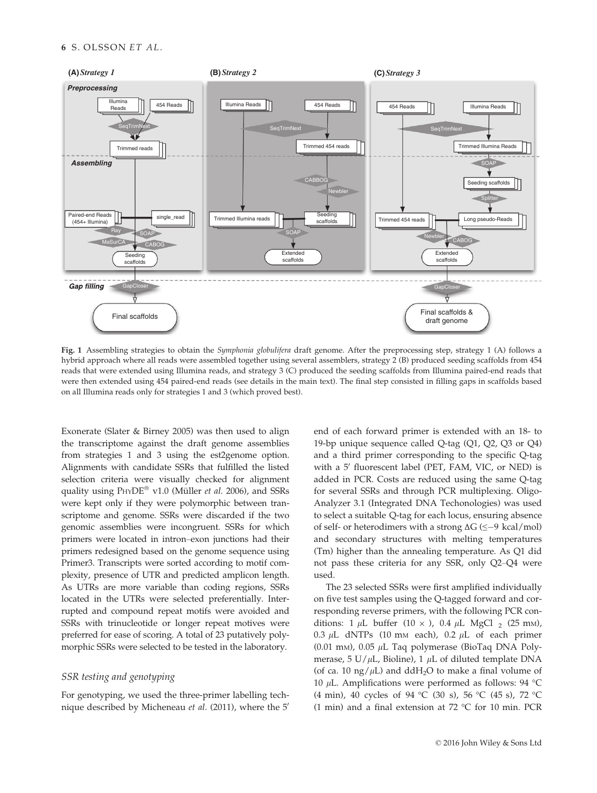

Fig. 1 Assembling strategies to obtain the Symphonia globulifera draft genome. After the preprocessing step, strategy 1 (A) follows a hybrid approach where all reads were assembled together using several assemblers, strategy 2 (B) produced seeding scaffolds from 454 reads that were extended using Illumina reads, and strategy 3 (C) produced the seeding scaffolds from Illumina paired-end reads that were then extended using 454 paired-end reads (see details in the main text). The final step consisted in filling gaps in scaffolds based on all Illumina reads only for strategies 1 and 3 (which proved best).

Exonerate (Slater & Birney 2005) was then used to align the transcriptome against the draft genome assemblies from strategies 1 and 3 using the est2genome option. Alignments with candidate SSRs that fulfilled the listed selection criteria were visually checked for alignment quality using  $PHYDE^®$  v1.0 (Müller *et al.* 2006), and SSRs were kept only if they were polymorphic between transcriptome and genome. SSRs were discarded if the two genomic assemblies were incongruent. SSRs for which primers were located in intron–exon junctions had their primers redesigned based on the genome sequence using Primer3. Transcripts were sorted according to motif complexity, presence of UTR and predicted amplicon length. As UTRs are more variable than coding regions, SSRs located in the UTRs were selected preferentially. Interrupted and compound repeat motifs were avoided and SSRs with trinucleotide or longer repeat motives were preferred for ease of scoring. A total of 23 putatively polymorphic SSRs were selected to be tested in the laboratory.

# SSR testing and genotyping

For genotyping, we used the three-primer labelling technique described by Micheneau et al. (2011), where the 5'

end of each forward primer is extended with an 18- to 19-bp unique sequence called Q-tag (Q1, Q2, Q3 or Q4) and a third primer corresponding to the specific Q-tag with a  $5'$  fluorescent label (PET, FAM, VIC, or NED) is added in PCR. Costs are reduced using the same Q-tag for several SSRs and through PCR multiplexing. Oligo-Analyzer 3.1 (Integrated DNA Techonologies) was used to select a suitable Q-tag for each locus, ensuring absence of self- or heterodimers with a strong  $\Delta G$  ( $\leq -9$  kcal/mol) and secondary structures with melting temperatures (Tm) higher than the annealing temperature. As Q1 did not pass these criteria for any SSR, only Q2–Q4 were used.

The 23 selected SSRs were first amplified individually on five test samples using the Q-tagged forward and corresponding reverse primers, with the following PCR conditions: 1  $\mu$ L buffer (10  $\times$  ), 0.4  $\mu$ L MgCl <sub>2</sub> (25 mm), 0.3  $\mu$ L dNTPs (10 mm each), 0.2  $\mu$ L of each primer (0.01 mm), 0.05  $\mu$ L Taq polymerase (BioTaq DNA Polymerase, 5 U/ $\mu$ L, Bioline), 1  $\mu$ L of diluted template DNA (of ca. 10 ng/ $\mu$ L) and ddH<sub>2</sub>O to make a final volume of 10  $\mu$ L. Amplifications were performed as follows: 94 °C (4 min), 40 cycles of 94 °C (30 s), 56 °C (45 s), 72 °C (1 min) and a final extension at 72 °C for 10 min. PCR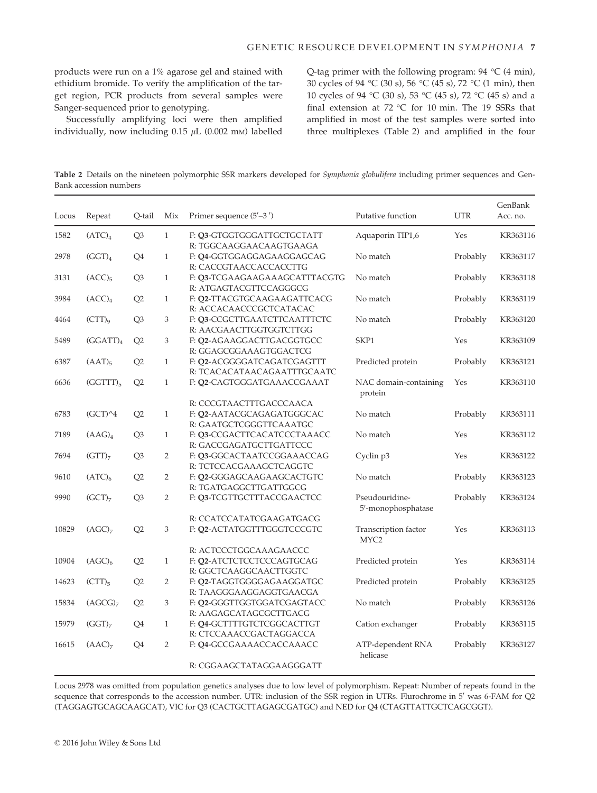products were run on a 1% agarose gel and stained with ethidium bromide. To verify the amplification of the target region, PCR products from several samples were Sanger-sequenced prior to genotyping.

Successfully amplifying loci were then amplified individually, now including  $0.15 \mu L$  (0.002 mm) labelled Q-tag primer with the following program: 94 °C (4 min), 30 cycles of 94 °C (30 s), 56 °C (45 s), 72 °C (1 min), then 10 cycles of 94 °C (30 s), 53 °C (45 s), 72 °C (45 s) and a final extension at 72 °C for 10 min. The 19 SSRs that amplified in most of the test samples were sorted into three multiplexes (Table 2) and amplified in the four

Table 2 Details on the nineteen polymorphic SSR markers developed for Symphonia globulifera including primer sequences and Gen-Bank accession numbers

| Locus | Repeat               | Q-tail         | Mix            | Primer sequence $(5'–3')$                                                       | Putative function                        | <b>UTR</b> | GenBank<br>Acc. no. |
|-------|----------------------|----------------|----------------|---------------------------------------------------------------------------------|------------------------------------------|------------|---------------------|
| 1582  | (ATC) <sub>4</sub>   | Q <sub>3</sub> | $\mathbf{1}$   | F: Q3-GTGGTGGGATTGCTGCTATT<br>R: TGGCAAGGAACAAGTGAAGA                           | Aquaporin TIP1,6                         | Yes        | KR363116            |
| 2978  | (GGT) <sub>4</sub>   | Q4             | $\mathbf{1}$   | F: Q4-GGTGGAGGAGAAGGAGCAG<br>R: CACCGTAACCACCACCTTG                             | No match                                 | Probably   | KR363117            |
| 3131  | $(ACC)_5$            | Q <sub>3</sub> | $\mathbf{1}$   | F: Q3-TCGAAGAAGAAAGCATTTACGTG<br>R: ATGAGTACGTTCCAGGGCG                         | No match                                 | Probably   | KR363118            |
| 3984  | (ACC) <sub>4</sub>   | Q2             | $\mathbf{1}$   | F: Q2-TTACGTGCAAGAAGATTCACG<br>R: ACCACAACCCGCTCATACAC                          | No match                                 | Probably   | KR363119            |
| 4464  | $(CTT)_{9}$          | Q <sub>3</sub> | 3              | F: Q3-CCGCTTGAATCTTCAATTTCTC<br>R: AACGAACTTGGTGGTCTTGG                         | No match                                 | Probably   | KR363120            |
| 5489  | (GGATT) <sub>4</sub> | Q2             | 3              | F: 02-AGAAGGACTTGACGGTGCC<br>R: GGAGCGGAAAGTGGACTCG                             | SKP1                                     | Yes        | KR363109            |
| 6387  | $(AAT)_{5}$          | Q2             | $\mathbf{1}$   | F: Q2-ACGGGGATCAGATCGAGTTT<br>R: TCACACATAACAGAATTTGCAATC                       | Predicted protein                        | Probably   | KR363121            |
| 6636  | $(GGTTT)_{5}$        | Q2             | $\mathbf{1}$   | F: Q2-CAGTGGGATGAAACCGAAAT                                                      | NAC domain-containing<br>protein         | Yes        | KR363110            |
| 6783  | $(GCT)^4$            | Q2             | $\mathbf{1}$   | R: CCCGTAACTTTGACCCAACA<br>F: Q2-AATACGCAGAGATGGGCAC<br>R: GAATGCTCGGGTTCAAATGC | No match                                 | Probably   | KR363111            |
| 7189  | (AdG) <sub>4</sub>   | Q <sub>3</sub> | $\mathbf{1}$   | F: Q3-CCGACTTCACATCCCTAAACC<br>R: GACCGAGATGCTTGATTCCC                          | No match                                 | Yes        | KR363112            |
| 7694  | $(GTT)_7$            | Q3             | 2              | F: 03-GGCACTAATCCGGAAACCAG<br>R: TCTCCACGAAAGCTCAGGTC                           | Cyclin p3                                | Yes        | KR363122            |
| 9610  | (ATC) <sub>6</sub>   | Q2             | $\overline{2}$ | F: Q2-GGGAGCAAGAAGCACTGTC<br>R: TGATGAGGCTTGATTGGCG                             | No match                                 | Probably   | KR363123            |
| 9990  | (GCT) <sub>7</sub>   | Q <sub>3</sub> | $\overline{2}$ | F: Q3-TCGTTGCTTTACCGAACTCC                                                      | Pseudouridine-<br>5'-monophosphatase     | Probably   | KR363124            |
| 10829 | (AGC) <sub>7</sub>   | Q2             | 3              | R: CCATCCATATCGAAGATGACG<br>F: Q2-ACTATGGTTTGGGTCCCGTC                          | Transcription factor<br>MYC <sub>2</sub> | Yes        | KR363113            |
| 10904 | (AGC) <sub>6</sub>   | Q <sub>2</sub> | $\mathbf{1}$   | R: ACTCCCTGGCAAAGAACCC<br>F: Q2-ATCTCTCCTCCCAGTGCAG                             | Predicted protein                        | Yes        | KR363114            |
| 14623 | $(CTT)_{5}$          | Q2             | $\overline{2}$ | R: GGCTCAAGGCAACTTGGTC<br>F: 02-TAGGTGGGGAGAAGGATGC<br>R: TAAGGGAAGGAGGTGAACGA  | Predicted protein                        | Probably   | KR363125            |
| 15834 | (AGCG) <sub>7</sub>  | Q2             | 3              | F: Q2-GGGTTGGTGGATCGAGTACC<br>R: AAGAGCATAGCGCTTGACG                            | No match                                 | Probably   | KR363126            |
| 15979 | $(GGT)_7$            | Q4             | $\mathbf{1}$   | F: Q4-GCTTTTGTCTCGGCACTTGT<br>R: CTCCAAACCGACTAGGACCA                           | Cation exchanger                         | Probably   | KR363115            |
| 16615 | (AAC) <sub>7</sub>   | Q4             | $\overline{2}$ | F: Q4-GCCGAAAACCACCAAACC                                                        | ATP-dependent RNA<br>helicase            | Probably   | KR363127            |
|       |                      |                |                | R: CGGAAGCTATAGGAAGGGATT                                                        |                                          |            |                     |

Locus 2978 was omitted from population genetics analyses due to low level of polymorphism. Repeat: Number of repeats found in the sequence that corresponds to the accession number. UTR: inclusion of the SSR region in UTRs. Flurochrome in 5' was 6-FAM for Q2 (TAGGAGTGCAGCAAGCAT), VIC for Q3 (CACTGCTTAGAGCGATGC) and NED for Q4 (CTAGTTATTGCTCAGCGGT).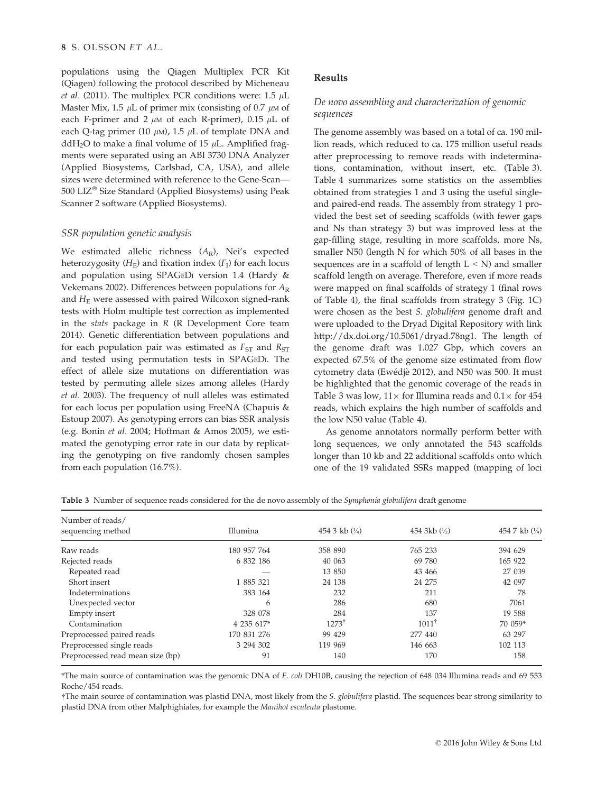populations using the Qiagen Multiplex PCR Kit (Qiagen) following the protocol described by Micheneau et al. (2011). The multiplex PCR conditions were:  $1.5 \mu L$ Master Mix, 1.5  $\mu$ L of primer mix (consisting of 0.7  $\mu$ M of each F-primer and 2  $\mu$ M of each R-primer), 0.15  $\mu$ L of each Q-tag primer (10  $\mu$ M), 1.5  $\mu$ L of template DNA and ddH<sub>2</sub>O to make a final volume of 15  $\mu$ L. Amplified fragments were separated using an ABI 3730 DNA Analyzer (Applied Biosystems, Carlsbad, CA, USA), and allele sizes were determined with reference to the Gene-Scan— 500 LIZ<sup>®</sup> Size Standard (Applied Biosystems) using Peak Scanner 2 software (Applied Biosystems).

## SSR population genetic analysis

We estimated allelic richness  $(A_R)$ , Nei's expected heterozygosity  $(H_F)$  and fixation index  $(F_I)$  for each locus and population using SPAGEDI version 1.4 (Hardy & Vekemans 2002). Differences between populations for  $A_{R}$ and  $H<sub>E</sub>$  were assessed with paired Wilcoxon signed-rank tests with Holm multiple test correction as implemented in the *stats* package in  $R$  ( $R$  Development Core team 2014). Genetic differentiation between populations and for each population pair was estimated as  $F_{ST}$  and  $R_{ST}$ and tested using permutation tests in SPAGEDI. The effect of allele size mutations on differentiation was tested by permuting allele sizes among alleles (Hardy et al. 2003). The frequency of null alleles was estimated for each locus per population using FreeNA (Chapuis & Estoup 2007). As genotyping errors can bias SSR analysis (e.g. Bonin et al. 2004; Hoffman & Amos 2005), we estimated the genotyping error rate in our data by replicating the genotyping on five randomly chosen samples from each population (16.7%).

# Results

# De novo assembling and characterization of genomic sequences

The genome assembly was based on a total of ca. 190 million reads, which reduced to ca. 175 million useful reads after preprocessing to remove reads with indeterminations, contamination, without insert, etc. (Table 3). Table 4 summarizes some statistics on the assemblies obtained from strategies 1 and 3 using the useful singleand paired-end reads. The assembly from strategy 1 provided the best set of seeding scaffolds (with fewer gaps and Ns than strategy 3) but was improved less at the gap-filling stage, resulting in more scaffolds, more Ns, smaller N50 (length N for which 50% of all bases in the sequences are in a scaffold of length  $L < N$ ) and smaller scaffold length on average. Therefore, even if more reads were mapped on final scaffolds of strategy 1 (final rows of Table 4), the final scaffolds from strategy 3 (Fig. 1C) were chosen as the best S. globulifera genome draft and were uploaded to the Dryad Digital Repository with link [http://dx.doi.org/10.5061/dryad.78ng1.](http://dx.doi.org/10.5061/dryad.78ng1) The length of the genome draft was 1.027 Gbp, which covers an expected 67.5% of the genome size estimated from flow cytometry data (Ewédjè 2012), and N50 was 500. It must be highlighted that the genomic coverage of the reads in Table 3 was low,  $11 \times$  for Illumina reads and  $0.1 \times$  for 454 reads, which explains the high number of scaffolds and the low N50 value (Table 4).

As genome annotators normally perform better with long sequences, we only annotated the 543 scaffolds longer than 10 kb and 22 additional scaffolds onto which one of the 19 validated SSRs mapped (mapping of loci

| Number of reads/<br>sequencing method | Illumina    | 454 3 kb $(\frac{1}{4})$ | 454 3kb $(\frac{1}{2})$ | 454 7 kb $(\frac{1}{4})$ |
|---------------------------------------|-------------|--------------------------|-------------------------|--------------------------|
| Raw reads                             | 180 957 764 | 358 890                  | 765 233                 | 394 629                  |
| Rejected reads                        | 6 832 186   | 40 063                   | 69 780                  | 165 922                  |
| Repeated read                         |             | 13 850                   | 43 466                  | 27 039                   |
| Short insert                          | 1 885 321   | 24 138                   | 24 275                  | 42 097                   |
| Indeterminations                      | 383 164     | 232                      | 211                     | 78                       |
| Unexpected vector                     | 6           | 286                      | 680                     | 7061                     |
| Empty insert                          | 328 078     | 284                      | 137                     | 19 588                   |
| Contamination                         | 4 235 617*  | $1273^{\dagger}$         | $1011^{\dagger}$        | 70 059*                  |
| Preprocessed paired reads             | 170 831 276 | 99 429                   | 277 440                 | 63 297                   |
| Preprocessed single reads             | 3 294 302   | 119 969                  | 146 663                 | 102 113                  |
| Preprocessed read mean size (bp)      | 91          | 140                      | 170                     | 158                      |
|                                       |             |                          |                         |                          |

Table 3 Number of sequence reads considered for the de novo assembly of the Symphonia globulifera draft genome

\*The main source of contamination was the genomic DNA of E. coli DH10B, causing the rejection of 648 034 Illumina reads and 69 553 Roche/454 reads.

†The main source of contamination was plastid DNA, most likely from the S. globulifera plastid. The sequences bear strong similarity to plastid DNA from other Malphighiales, for example the Manihot esculenta plastome.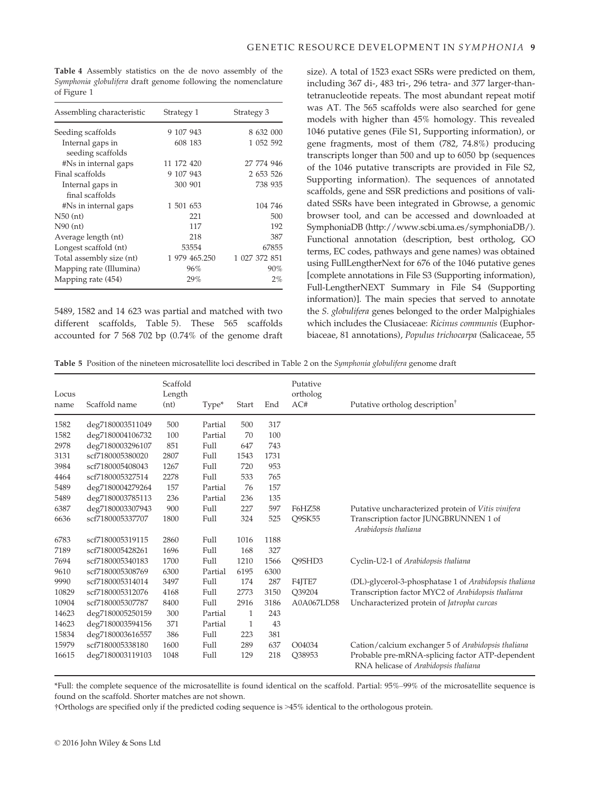Table 4 Assembly statistics on the de novo assembly of the Symphonia globulifera draft genome following the nomenclature of Figure 1

| Assembling characteristic | Strategy 1    | Strategy 3    |
|---------------------------|---------------|---------------|
| Seeding scaffolds         | 9 107 943     | 8 632 000     |
| Internal gaps in          | 608 183       | 1 052 592     |
| seeding scaffolds         |               |               |
| #Ns in internal gaps      | 11 172 420    | 27 774 946    |
| Final scaffolds           | 9 107 943     | 2 653 526     |
| Internal gaps in          | 300 901       | 738 935       |
| final scaffolds           |               |               |
| #Ns in internal gaps      | 1 501 653     | 104 746       |
| $N50$ (nt)                | 221           | 500           |
| $N90$ (nt)                | 117           | 192           |
| Average length (nt)       | 218           | 387           |
| Longest scaffold (nt)     | 53554         | 67855         |
| Total assembly size (nt)  | 1 979 465.250 | 1 027 372 851 |
| Mapping rate (Illumina)   | 96%           | 90%           |
| Mapping rate (454)        | 29%           | $2\%$         |

5489, 1582 and 14 623 was partial and matched with two different scaffolds, Table 5). These 565 scaffolds accounted for 7 568 702 bp (0.74% of the genome draft

size). A total of 1523 exact SSRs were predicted on them, including 367 di-, 483 tri-, 296 tetra- and 377 larger-thantetranucleotide repeats. The most abundant repeat motif was AT. The 565 scaffolds were also searched for gene models with higher than 45% homology. This revealed 1046 putative genes (File S1, Supporting information), or gene fragments, most of them (782, 74.8%) producing transcripts longer than 500 and up to 6050 bp (sequences of the 1046 putative transcripts are provided in File S2, Supporting information). The sequences of annotated scaffolds, gene and SSR predictions and positions of validated SSRs have been integrated in Gbrowse, a genomic browser tool, and can be accessed and downloaded at SymphoniaDB [\(http://www.scbi.uma.es/symphoniaDB/\)](http://www.scbi.uma.es/symphoniaDB/). Functional annotation (description, best ortholog, GO terms, EC codes, pathways and gene names) was obtained using FullLengtherNext for 676 of the 1046 putative genes [complete annotations in File S3 (Supporting information), Full-LengtherNEXT Summary in File S4 (Supporting information)]. The main species that served to annotate the S. globulifera genes belonged to the order Malpighiales which includes the Clusiaceae: Ricinus communis (Euphorbiaceae, 81 annotations), Populus trichocarpa (Salicaceae, 55

Table 5 Position of the nineteen microsatellite loci described in Table 2 on the Symphonia globulifera genome draft

| Locus<br>name | Scaffold name    | Scaffold<br>Length<br>(nt) | Type*   | Start | End  | Putative<br>ortholog<br>AC# | Putative ortholog description <sup>T</sup>                                              |
|---------------|------------------|----------------------------|---------|-------|------|-----------------------------|-----------------------------------------------------------------------------------------|
|               |                  |                            |         |       |      |                             |                                                                                         |
| 1582          | deg7180003511049 | 500                        | Partial | 500   | 317  |                             |                                                                                         |
| 1582          | deg7180004106732 | 100                        | Partial | 70    | 100  |                             |                                                                                         |
| 2978          | deg7180003296107 | 851                        | Full    | 647   | 743  |                             |                                                                                         |
| 3131          | scf7180005380020 | 2807                       | Full    | 1543  | 1731 |                             |                                                                                         |
| 3984          | scf7180005408043 | 1267                       | Full    | 720   | 953  |                             |                                                                                         |
| 4464          | scf7180005327514 | 2278                       | Full    | 533   | 765  |                             |                                                                                         |
| 5489          | deg7180004279264 | 157                        | Partial | 76    | 157  |                             |                                                                                         |
| 5489          | deg7180003785113 | 236                        | Partial | 236   | 135  |                             |                                                                                         |
| 6387          | deg7180003307943 | 900                        | Full    | 227   | 597  | <b>F6HZ58</b>               | Putative uncharacterized protein of Vitis vinifera                                      |
| 6636          | scf7180005337707 | 1800                       | Full    | 324   | 525  | <b>O9SK55</b>               | Transcription factor JUNGBRUNNEN 1 of<br>Arabidopsis thaliana                           |
| 6783          | scf7180005319115 | 2860                       | Full    | 1016  | 1188 |                             |                                                                                         |
| 7189          | scf7180005428261 | 1696                       | Full    | 168   | 327  |                             |                                                                                         |
| 7694          | scf7180005340183 | 1700                       | Full    | 1210  | 1566 | Q9SHD3                      | Cyclin-U2-1 of Arabidopsis thaliana                                                     |
| 9610          | scf7180005308769 | 6300                       | Partial | 6195  | 6300 |                             |                                                                                         |
| 9990          | scf7180005314014 | 3497                       | Full    | 174   | 287  | F4JTE7                      | (DL)-glycerol-3-phosphatase 1 of Arabidopsis thaliana                                   |
| 10829         | scf7180005312076 | 4168                       | Full    | 2773  | 3150 | O39204                      | Transcription factor MYC2 of Arabidopsis thaliana                                       |
| 10904         | scf7180005307787 | 8400                       | Full    | 2916  | 3186 | A0A067LD58                  | Uncharacterized protein of Jatropha curcas                                              |
| 14623         | deg7180005250159 | 300                        | Partial | 1     | 243  |                             |                                                                                         |
| 14623         | deg7180003594156 | 371                        | Partial | 1     | 43   |                             |                                                                                         |
| 15834         | deg7180003616557 | 386                        | Full    | 223   | 381  |                             |                                                                                         |
| 15979         | scf7180005338180 | 1600                       | Full    | 289   | 637  | O04034                      | Cation/calcium exchanger 5 of Arabidopsis thaliana                                      |
| 16615         | deg7180003119103 | 1048                       | Full    | 129   | 218  | Q38953                      | Probable pre-mRNA-splicing factor ATP-dependent<br>RNA helicase of Arabidopsis thaliana |

\*Full: the complete sequence of the microsatellite is found identical on the scaffold. Partial: 95%–99% of the microsatellite sequence is found on the scaffold. Shorter matches are not shown.

†Orthologs are specified only if the predicted coding sequence is >45% identical to the orthologous protein.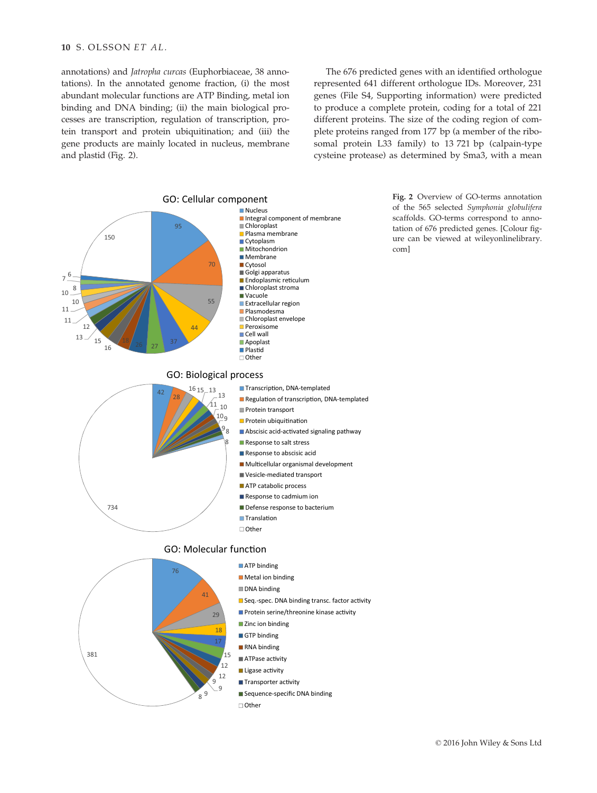annotations) and Jatropha curcas (Euphorbiaceae, 38 annotations). In the annotated genome fraction, (i) the most abundant molecular functions are ATP Binding, metal ion binding and DNA binding; (ii) the main biological processes are transcription, regulation of transcription, protein transport and protein ubiquitination; and (iii) the gene products are mainly located in nucleus, membrane and plastid (Fig. 2).

The 676 predicted genes with an identified orthologue represented 641 different orthologue IDs. Moreover, 231 genes (File S4, Supporting information) were predicted to produce a complete protein, coding for a total of 221 different proteins. The size of the coding region of complete proteins ranged from 177 bp (a member of the ribosomal protein L33 family) to 13 721 bp (calpain-type cysteine protease) as determined by Sma3, with a mean



Fig. 2 Overview of GO-terms annotation of the 565 selected Symphonia globulifera scaffolds. GO-terms correspond to annotation of 676 predicted genes. [Colour figure can be viewed at [wileyonlinelibrary.](wileyonlinelibrary.com) [com\]](wileyonlinelibrary.com)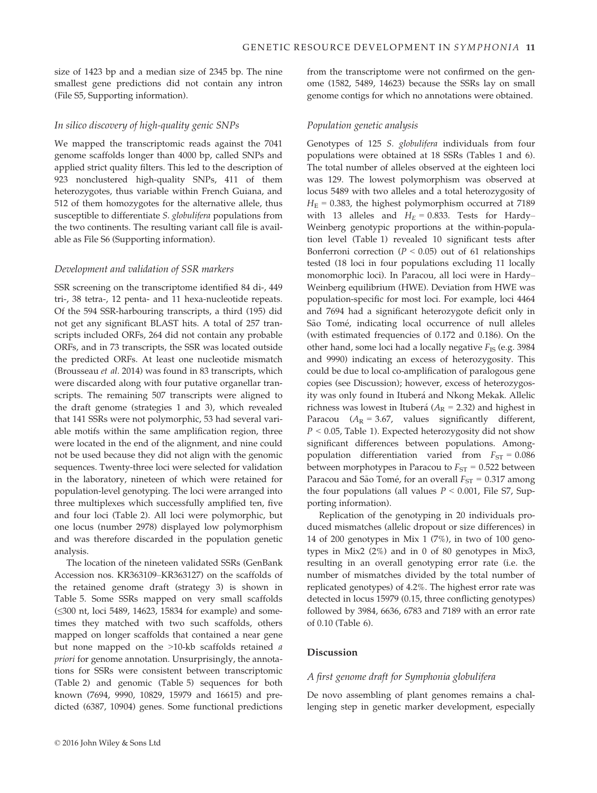size of 1423 bp and a median size of 2345 bp. The nine smallest gene predictions did not contain any intron (File S5, Supporting information).

#### In silico discovery of high-quality genic SNPs

We mapped the transcriptomic reads against the 7041 genome scaffolds longer than 4000 bp, called SNPs and applied strict quality filters. This led to the description of 923 nonclustered high-quality SNPs, 411 of them heterozygotes, thus variable within French Guiana, and 512 of them homozygotes for the alternative allele, thus susceptible to differentiate S. globulifera populations from the two continents. The resulting variant call file is available as File S6 (Supporting information).

#### Development and validation of SSR markers

SSR screening on the transcriptome identified 84 di-, 449 tri-, 38 tetra-, 12 penta- and 11 hexa-nucleotide repeats. Of the 594 SSR-harbouring transcripts, a third (195) did not get any significant BLAST hits. A total of 257 transcripts included ORFs, 264 did not contain any probable ORFs, and in 73 transcripts, the SSR was located outside the predicted ORFs. At least one nucleotide mismatch (Brousseau et al. 2014) was found in 83 transcripts, which were discarded along with four putative organellar transcripts. The remaining 507 transcripts were aligned to the draft genome (strategies 1 and 3), which revealed that 141 SSRs were not polymorphic, 53 had several variable motifs within the same amplification region, three were located in the end of the alignment, and nine could not be used because they did not align with the genomic sequences. Twenty-three loci were selected for validation in the laboratory, nineteen of which were retained for population-level genotyping. The loci were arranged into three multiplexes which successfully amplified ten, five and four loci (Table 2). All loci were polymorphic, but one locus (number 2978) displayed low polymorphism and was therefore discarded in the population genetic analysis.

The location of the nineteen validated SSRs (GenBank Accession nos. [KR363109](http://www.ncbi.nlm.nih.gov/nuccore/KR363109)–[KR363127](http://www.ncbi.nlm.nih.gov/nuccore/KR363127)) on the scaffolds of the retained genome draft (strategy 3) is shown in Table 5. Some SSRs mapped on very small scaffolds (≤300 nt, loci 5489, 14623, 15834 for example) and sometimes they matched with two such scaffolds, others mapped on longer scaffolds that contained a near gene but none mapped on the >10-kb scaffolds retained a priori for genome annotation. Unsurprisingly, the annotations for SSRs were consistent between transcriptomic (Table 2) and genomic (Table 5) sequences for both known (7694, 9990, 10829, 15979 and 16615) and predicted (6387, 10904) genes. Some functional predictions

#### Population genetic analysis

Genotypes of 125 S. globulifera individuals from four populations were obtained at 18 SSRs (Tables 1 and 6). The total number of alleles observed at the eighteen loci was 129. The lowest polymorphism was observed at locus 5489 with two alleles and a total heterozygosity of  $H<sub>E</sub> = 0.383$ , the highest polymorphism occurred at 7189 with 13 alleles and  $H_E = 0.833$ . Tests for Hardy– Weinberg genotypic proportions at the within-population level (Table 1) revealed 10 significant tests after Bonferroni correction ( $P < 0.05$ ) out of 61 relationships tested (18 loci in four populations excluding 11 locally monomorphic loci). In Paracou, all loci were in Hardy– Weinberg equilibrium (HWE). Deviation from HWE was population-specific for most loci. For example, loci 4464 and 7694 had a significant heterozygote deficit only in São Tomé, indicating local occurrence of null alleles (with estimated frequencies of 0.172 and 0.186). On the other hand, some loci had a locally negative  $F_{\text{IS}}$  (e.g. 3984) and 9990) indicating an excess of heterozygosity. This could be due to local co-amplification of paralogous gene copies (see Discussion); however, excess of heterozygosity was only found in Ituberá and Nkong Mekak. Allelic richness was lowest in Ituberá ( $A_R$  = 2.32) and highest in Paracou ( $A_R = 3.67$ , values significantly different,  $P < 0.05$ , Table 1). Expected heterozygosity did not show significant differences between populations. Amongpopulation differentiation varied from  $F_{ST} = 0.086$ between morphotypes in Paracou to  $F_{ST} = 0.522$  between Paracou and São Tomé, for an overall  $F_{ST} = 0.317$  among the four populations (all values  $P < 0.001$ , File S7, Supporting information).

Replication of the genotyping in 20 individuals produced mismatches (allelic dropout or size differences) in 14 of 200 genotypes in Mix 1 (7%), in two of 100 genotypes in Mix2 (2%) and in 0 of 80 genotypes in Mix3, resulting in an overall genotyping error rate (i.e. the number of mismatches divided by the total number of replicated genotypes) of 4.2%. The highest error rate was detected in locus 15979 (0.15, three conflicting genotypes) followed by 3984, 6636, 6783 and 7189 with an error rate of 0.10 (Table 6).

## Discussion

#### A first genome draft for Symphonia globulifera

De novo assembling of plant genomes remains a challenging step in genetic marker development, especially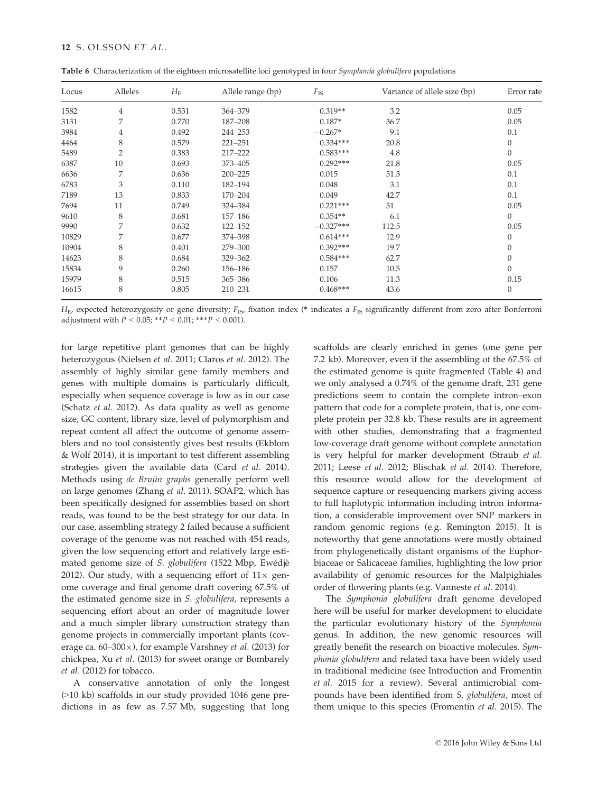|  | Table 6 Characterization of the eighteen microsatellite loci genotyped in four Symphonia globulifera populations |  |  |  |
|--|------------------------------------------------------------------------------------------------------------------|--|--|--|
|  |                                                                                                                  |  |  |  |

| Locus | Alleles        | $H_{\rm E}$ | Allele range (bp) | $F_{\rm IS}$ | Variance of allele size (bp) | Error rate       |
|-------|----------------|-------------|-------------------|--------------|------------------------------|------------------|
| 1582  | $\overline{4}$ | 0.531       | 364-379           | $0.319**$    | 3.2                          | 0.05             |
| 3131  | 7              | 0.770       | 187-208           | $0.187*$     | 36.7                         | 0.05             |
| 3984  | 4              | 0.492       | 244-253           | $-0.267*$    | 9.1                          | 0.1              |
| 4464  | 8              | 0.579       | $221 - 251$       | $0.334***$   | 20.8                         | $\theta$         |
| 5489  | $\overline{2}$ | 0.383       | 217-222           | $0.583***$   | 4.8                          | $\theta$         |
| 6387  | 10             | 0.693       | 373-405           | $0.292***$   | 21.8                         | 0.05             |
| 6636  | 7              | 0.636       | $200 - 225$       | 0.015        | 51.3                         | 0.1              |
| 6783  | 3              | 0.110       | 182-194           | 0.048        | 3.1                          | 0.1              |
| 7189  | 13             | 0.833       | 170-204           | 0.049        | 42.7                         | 0.1              |
| 7694  | 11             | 0.749       | 324-384           | $0.221***$   | 51                           | 0.05             |
| 9610  | 8              | 0.681       | $157 - 186$       | $0.354**$    | 6.1                          | $\theta$         |
| 9990  | 7              | 0.632       | $122 - 152$       | $-0.327***$  | 112.5                        | 0.05             |
| 10829 | 7              | 0.677       | 374-398           | $0.614***$   | 12.9                         | $\theta$         |
| 10904 | 8              | 0.401       | 279-300           | $0.392***$   | 19.7                         | $\boldsymbol{0}$ |
| 14623 | 8              | 0.684       | 329-362           | $0.584***$   | 62.7                         | $\theta$         |
| 15834 | 9              | 0.260       | 156-186           | 0.157        | 10.5                         | $\theta$         |
| 15979 | 8              | 0.515       | 365 - 386         | 0.106        | 11.3                         | 0.15             |
| 16615 | 8              | 0.805       | 210-231           | $0.468***$   | 43.6                         | $\theta$         |

 $H<sub>E</sub>$ , expected heterozygosity or gene diversity;  $F<sub>IS</sub>$ , fixation index (\* indicates a  $F<sub>IS</sub>$  significantly different from zero after Bonferroni adjustment with  $P < 0.05$ ; \*\* $P < 0.01$ ; \*\*\* $P < 0.001$ ).

for large repetitive plant genomes that can be highly heterozygous (Nielsen et al. 2011; Claros et al. 2012). The assembly of highly similar gene family members and genes with multiple domains is particularly difficult, especially when sequence coverage is low as in our case (Schatz et al. 2012). As data quality as well as genome size, GC content, library size, level of polymorphism and repeat content all affect the outcome of genome assemblers and no tool consistently gives best results (Ekblom & Wolf 2014), it is important to test different assembling strategies given the available data (Card et al. 2014). Methods using de Brujin graphs generally perform well on large genomes (Zhang et al. 2011). SOAP2, which has been specifically designed for assemblies based on short reads, was found to be the best strategy for our data. In our case, assembling strategy 2 failed because a sufficient coverage of the genome was not reached with 454 reads, given the low sequencing effort and relatively large estimated genome size of S. globulifera (1522 Mbp, Ewedje 2012). Our study, with a sequencing effort of  $11\times$  genome coverage and final genome draft covering 67.5% of the estimated genome size in S. globulifera, represents a sequencing effort about an order of magnitude lower and a much simpler library construction strategy than genome projects in commercially important plants (coverage ca. 60–300 $\times$ ), for example Varshney et al. (2013) for chickpea, Xu et al. (2013) for sweet orange or Bombarely et al. (2012) for tobacco.

A conservative annotation of only the longest (>10 kb) scaffolds in our study provided 1046 gene predictions in as few as 7.57 Mb, suggesting that long

scaffolds are clearly enriched in genes (one gene per 7.2 kb). Moreover, even if the assembling of the 67.5% of the estimated genome is quite fragmented (Table 4) and we only analysed a 0.74% of the genome draft, 231 gene predictions seem to contain the complete intron–exon pattern that code for a complete protein, that is, one complete protein per 32.8 kb. These results are in agreement with other studies, demonstrating that a fragmented low-coverage draft genome without complete annotation is very helpful for marker development (Straub et al. 2011; Leese et al. 2012; Blischak et al. 2014). Therefore, this resource would allow for the development of sequence capture or resequencing markers giving access to full haplotypic information including intron information, a considerable improvement over SNP markers in random genomic regions (e.g. Remington 2015). It is noteworthy that gene annotations were mostly obtained from phylogenetically distant organisms of the Euphorbiaceae or Salicaceae families, highlighting the low prior availability of genomic resources for the Malpighiales order of flowering plants (e.g. Vanneste et al. 2014).

The Symphonia globulifera draft genome developed here will be useful for marker development to elucidate the particular evolutionary history of the Symphonia genus. In addition, the new genomic resources will greatly benefit the research on bioactive molecules. Symphonia globulifera and related taxa have been widely used in traditional medicine (see Introduction and Fromentin et al. 2015 for a review). Several antimicrobial compounds have been identified from S. globulifera, most of them unique to this species (Fromentin et al. 2015). The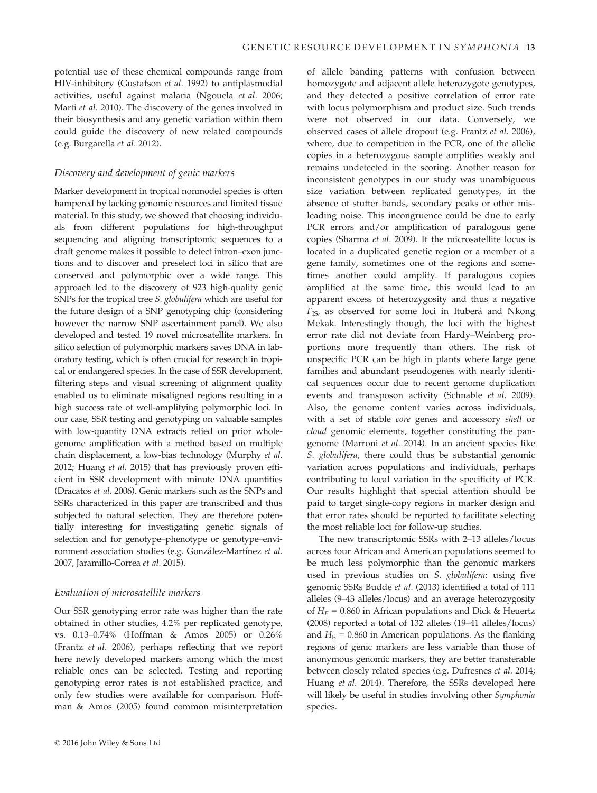potential use of these chemical compounds range from HIV-inhibitory (Gustafson et al. 1992) to antiplasmodial activities, useful against malaria (Ngouela et al. 2006; Marti et al. 2010). The discovery of the genes involved in their biosynthesis and any genetic variation within them could guide the discovery of new related compounds (e.g. Burgarella et al. 2012).

#### Discovery and development of genic markers

Marker development in tropical nonmodel species is often hampered by lacking genomic resources and limited tissue material. In this study, we showed that choosing individuals from different populations for high-throughput sequencing and aligning transcriptomic sequences to a draft genome makes it possible to detect intron–exon junctions and to discover and preselect loci in silico that are conserved and polymorphic over a wide range. This approach led to the discovery of 923 high-quality genic SNPs for the tropical tree S. globulifera which are useful for the future design of a SNP genotyping chip (considering however the narrow SNP ascertainment panel). We also developed and tested 19 novel microsatellite markers. In silico selection of polymorphic markers saves DNA in laboratory testing, which is often crucial for research in tropical or endangered species. In the case of SSR development, filtering steps and visual screening of alignment quality enabled us to eliminate misaligned regions resulting in a high success rate of well-amplifying polymorphic loci. In our case, SSR testing and genotyping on valuable samples with low-quantity DNA extracts relied on prior wholegenome amplification with a method based on multiple chain displacement, a low-bias technology (Murphy et al. 2012; Huang et al. 2015) that has previously proven efficient in SSR development with minute DNA quantities (Dracatos et al. 2006). Genic markers such as the SNPs and SSRs characterized in this paper are transcribed and thus subjected to natural selection. They are therefore potentially interesting for investigating genetic signals of selection and for genotype–phenotype or genotype–environment association studies (e.g. González-Martínez et al. 2007, Jaramillo-Correa et al. 2015).

#### Evaluation of microsatellite markers

Our SSR genotyping error rate was higher than the rate obtained in other studies, 4.2% per replicated genotype, vs. 0.13–0.74% (Hoffman & Amos 2005) or 0.26% (Frantz et al. 2006), perhaps reflecting that we report here newly developed markers among which the most reliable ones can be selected. Testing and reporting genotyping error rates is not established practice, and only few studies were available for comparison. Hoffman & Amos (2005) found common misinterpretation

of allele banding patterns with confusion between homozygote and adjacent allele heterozygote genotypes, and they detected a positive correlation of error rate with locus polymorphism and product size. Such trends were not observed in our data. Conversely, we observed cases of allele dropout (e.g. Frantz et al. 2006), where, due to competition in the PCR, one of the allelic copies in a heterozygous sample amplifies weakly and remains undetected in the scoring. Another reason for inconsistent genotypes in our study was unambiguous size variation between replicated genotypes, in the absence of stutter bands, secondary peaks or other misleading noise. This incongruence could be due to early PCR errors and/or amplification of paralogous gene copies (Sharma et al. 2009). If the microsatellite locus is located in a duplicated genetic region or a member of a gene family, sometimes one of the regions and sometimes another could amplify. If paralogous copies amplified at the same time, this would lead to an apparent excess of heterozygosity and thus a negative  $F_{IS}$ , as observed for some loci in Ituberá and Nkong Mekak. Interestingly though, the loci with the highest error rate did not deviate from Hardy–Weinberg proportions more frequently than others. The risk of unspecific PCR can be high in plants where large gene families and abundant pseudogenes with nearly identical sequences occur due to recent genome duplication events and transposon activity (Schnable et al. 2009). Also, the genome content varies across individuals, with a set of stable core genes and accessory shell or cloud genomic elements, together constituting the pangenome (Marroni et al. 2014). In an ancient species like S. globulifera, there could thus be substantial genomic variation across populations and individuals, perhaps contributing to local variation in the specificity of PCR. Our results highlight that special attention should be paid to target single-copy regions in marker design and that error rates should be reported to facilitate selecting the most reliable loci for follow-up studies.

The new transcriptomic SSRs with 2–13 alleles/locus across four African and American populations seemed to be much less polymorphic than the genomic markers used in previous studies on S. globulifera: using five genomic SSRs Budde et al. (2013) identified a total of 111 alleles (9–43 alleles/locus) and an average heterozygosity of  $H_E$  = 0.860 in African populations and Dick & Heuertz (2008) reported a total of 132 alleles (19–41 alleles/locus) and  $H<sub>E</sub> = 0.860$  in American populations. As the flanking regions of genic markers are less variable than those of anonymous genomic markers, they are better transferable between closely related species (e.g. Dufresnes et al. 2014; Huang et al. 2014). Therefore, the SSRs developed here will likely be useful in studies involving other Symphonia species.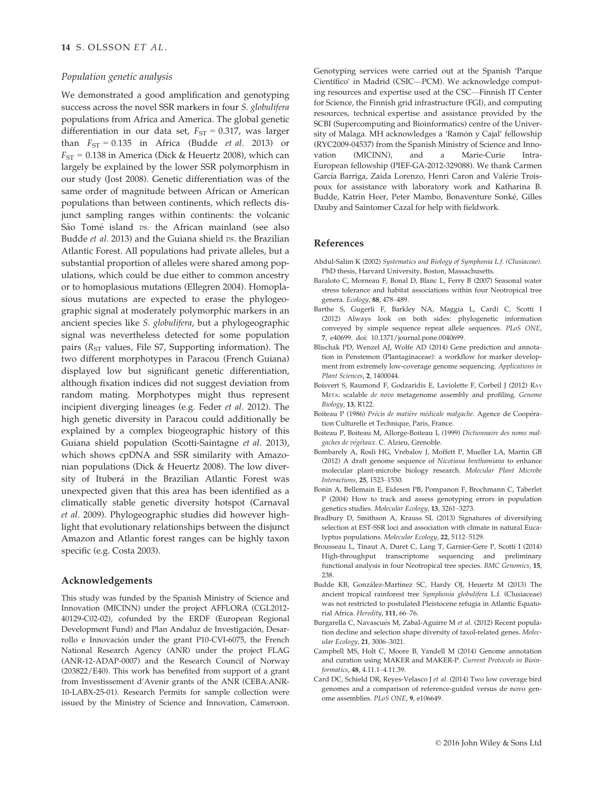## Population genetic analysis

We demonstrated a good amplification and genotyping success across the novel SSR markers in four S. globulifera populations from Africa and America. The global genetic differentiation in our data set,  $F_{ST} = 0.317$ , was larger than  $F_{ST} = 0.135$  in Africa (Budde *et al.* 2013) or  $F_{ST}$  = 0.138 in America (Dick & Heuertz 2008), which can largely be explained by the lower SSR polymorphism in our study (Jost 2008). Genetic differentiation was of the same order of magnitude between African or American populations than between continents, which reflects disjunct sampling ranges within continents: the volcanic São Tomé island vs. the African mainland (see also Budde et al. 2013) and the Guiana shield vs. the Brazilian Atlantic Forest. All populations had private alleles, but a substantial proportion of alleles were shared among populations, which could be due either to common ancestry or to homoplasious mutations (Ellegren 2004). Homoplasious mutations are expected to erase the phylogeographic signal at moderately polymorphic markers in an ancient species like S. globulifera, but a phylogeographic signal was nevertheless detected for some population pairs ( $R_{ST}$  values, File S7, Supporting information). The two different morphotypes in Paracou (French Guiana) displayed low but significant genetic differentiation, although fixation indices did not suggest deviation from random mating. Morphotypes might thus represent incipient diverging lineages (e.g. Feder et al. 2012). The high genetic diversity in Paracou could additionally be explained by a complex biogeographic history of this Guiana shield population (Scotti-Saintagne et al. 2013), which shows cpDNA and SSR similarity with Amazonian populations (Dick & Heuertz 2008). The low diversity of Ituberá in the Brazilian Atlantic Forest was unexpected given that this area has been identified as a climatically stable genetic diversity hotspot (Carnaval et al. 2009). Phylogeographic studies did however highlight that evolutionary relationships between the disjunct Amazon and Atlantic forest ranges can be highly taxon specific (e.g. Costa 2003).

#### Acknowledgements

This study was funded by the Spanish Ministry of Science and Innovation (MICINN) under the project AFFLORA (CGL2012- 40129-C02-02), cofunded by the ERDF (European Regional Development Fund) and Plan Andaluz de Investigación, Desarrollo e Innovacion under the grant P10-CVI-6075, the French National Research Agency (ANR) under the project FLAG (ANR-12-ADAP-0007) and the Research Council of Norway (203822/E40). This work has benefited from support of a grant from Investissement d'Avenir grants of the ANR (CEBA:ANR-10-LABX-25-01). Research Permits for sample collection were issued by the Ministry of Science and Innovation, Cameroon.

Genotyping services were carried out at the Spanish 'Parque Científico' in Madrid (CSIC—PCM). We acknowledge computing resources and expertise used at the CSC—Finnish IT Center for Science, the Finnish grid infrastructure (FGI), and computing resources, technical expertise and assistance provided by the SCBI (Supercomputing and Bioinformatics) centre of the University of Malaga. MH acknowledges a 'Ramón y Cajal' fellowship (RYC2009-04537) from the Spanish Ministry of Science and Innovation (MICINN), and a Marie-Curie Intra-European fellowship (PIEF-GA-2012-329088). We thank Carmen García Barriga, Zaida Lorenzo, Henri Caron and Valérie Troispoux for assistance with laboratory work and Katharina B. Budde, Katrin Heer, Peter Mambo, Bonaventure Sonke, Gilles Dauby and Saintomer Cazal for help with fieldwork.

## References

- Abdul-Salim K (2002) Systematics and Biology of Symphonia L.f. (Clusiaceae). PhD thesis, Harvard University, Boston, Massachusetts.
- Baraloto C, Morneau F, Bonal D, Blanc L, Ferry B (2007) Seasonal water stress tolerance and habitat associations within four Neotropical tree genera. Ecology, 88, 478–489.
- Barthe S, Gugerli F, Barkley NA, Maggia L, Cardi C, Scotti I (2012) Always look on both sides: phylogenetic information conveyed by simple sequence repeat allele sequences. PLoS ONE, 7, e40699. doi: [10.1371/journal.pone.0040699.](http://dx.doi.org/10.1371/journal.pone.0040699)
- Blischak PD, Wenzel AJ, Wolfe AD (2014) Gene prediction and annotation in Penstemon (Plantaginaceae): a workflow for marker development from extremely low-coverage genome sequencing. Applications in Plant Sciences, 2, 1400044.
- Boisvert S, Raumond F, Godzaridis E, Laviolette F, Corbeil J (2012) RAY META: scalable de novo metagenome assembly and profiling. Genome Biology, 13, R122.
- Boiteau P (1986) Précis de matière médicale malgache. Agence de Coopération Culturelle et Technique, Paris, France.
- Boiteau P, Boiteau M, Allorge-Boiteau L (1999) Dictionnaire des noms malgaches de végétaux. C. Alzieu, Grenoble.
- Bombarely A, Rosli HG, Vrebalov J, Moffett P, Mueller LA, Martin GB (2012) A draft genome sequence of Nicotiana benthamiana to enhance molecular plant-microbe biology research. Molecular Plant Microbe Interactions, 25, 1523–1530.
- Bonin A, Bellemain E, Eidesen PB, Pompanon F, Brochmann C, Taberlet P (2004) How to track and assess genotyping errors in population genetics studies. Molecular Ecology, 13, 3261–3273.
- Bradbury D, Smithson A, Krauss SL (2013) Signatures of diversifying selection at EST-SSR loci and association with climate in natural Eucalyptus populations. Molecular Ecology, 22, 5112–5129.
- Brousseau L, Tinaut A, Duret C, Lang T, Garnier-Gere P, Scotti I (2014) High-throughput transcriptome sequencing and preliminary functional analysis in four Neotropical tree species. BMC Genomics, 15, 238.
- Budde KB, González-Martínez SC, Hardy OJ, Heuertz M (2013) The ancient tropical rainforest tree Symphonia globulifera L.f. (Clusiaceae) was not restricted to postulated Pleistocene refugia in Atlantic Equatorial Africa. Heredity, 111, 66-76.
- Burgarella C, Navascués M, Zabal-Aguirre M et al. (2012) Recent population decline and selection shape diversity of taxol-related genes. Molecular Ecology, 21, 3006–3021.
- Campbell MS, Holt C, Moore B, Yandell M (2014) Genome annotation and curation using MAKER and MAKER-P. Current Protocols in Bioinformatics, 48, 4.11.1–4.11.39.
- Card DC, Schield DR, Reyes-Velasco J et al. (2014) Two low coverage bird genomes and a comparison of reference-guided versus de novo genome assemblies. PLoS ONE, 9, e106649.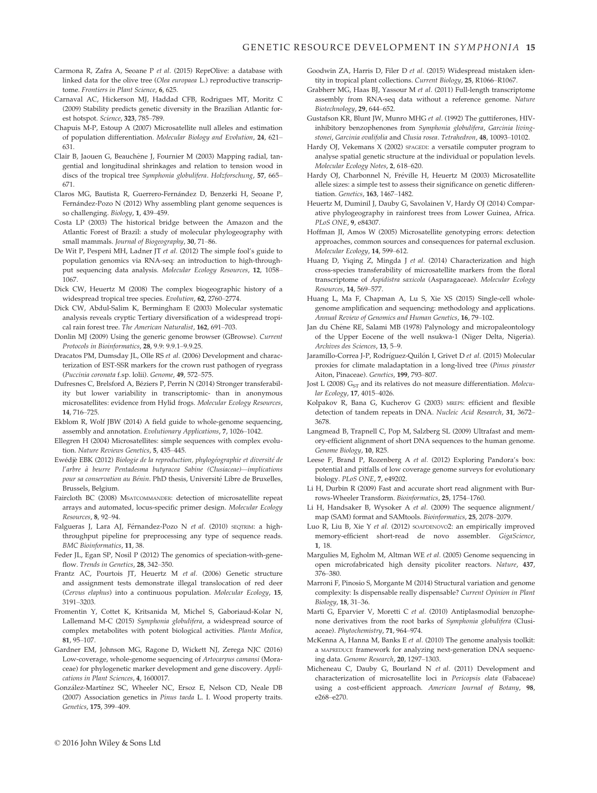- Carmona R, Zafra A, Seoane P et al. (2015) ReprOlive: a database with linked data for the olive tree (Olea europaea L.) reproductive transcriptome. Frontiers in Plant Science, 6, 625.
- Carnaval AC, Hickerson MJ, Haddad CFB, Rodrigues MT, Moritz C (2009) Stability predicts genetic diversity in the Brazilian Atlantic forest hotspot. Science, 323, 785–789.
- Chapuis M-P, Estoup A (2007) Microsatellite null alleles and estimation of population differentiation. Molecular Biology and Evolution, 24, 621– 631.
- Clair B, Jaouen G, Beauchêne J, Fournier M (2003) Mapping radial, tangential and longitudinal shrinkages and relation to tension wood in discs of the tropical tree Symphonia globulifera. Holzforschung, 57, 665– 671.
- Claros MG, Bautista R, Guerrero-Fernandez D, Benzerki H, Seoane P, Fernández-Pozo N (2012) Why assembling plant genome sequences is so challenging. Biology, 1, 439–459.
- Costa LP (2003) The historical bridge between the Amazon and the Atlantic Forest of Brazil: a study of molecular phylogeography with small mammals. Journal of Biogeography, 30, 71–86.
- De Wit P, Pespeni MH, Ladner JT et al. (2012) The simple fool's guide to population genomics via RNA-seq: an introduction to high-throughput sequencing data analysis. Molecular Ecology Resources, 12, 1058– 1067.
- Dick CW, Heuertz M (2008) The complex biogeographic history of a widespread tropical tree species. Evolution, 62, 2760–2774.
- Dick CW, Abdul-Salim K, Bermingham E (2003) Molecular systematic analysis reveals cryptic Tertiary diversification of a widespread tropical rain forest tree. The American Naturalist, 162, 691–703.
- Donlin MJ (2009) Using the generic genome browser (GBrowse). Current Protocols in Bioinformatics, 28, 9.9: 9.9.1–9.9.25.
- Dracatos PM, Dumsday JL, Olle RS et al. (2006) Development and characterization of EST-SSR markers for the crown rust pathogen of ryegrass (Puccinia coronata f.sp. lolii). Genome, 49, 572–575.
- Dufresnes C, Brelsford A, Beziers P, Perrin N (2014) Stronger transferability but lower variability in transcriptomic- than in anonymous microsatellites: evidence from Hylid frogs. Molecular Ecology Resources, 14, 716–725.
- Ekblom R, Wolf JBW (2014) A field guide to whole-genome sequencing, assembly and annotation. Evolutionary Applications, 7, 1026–1042.
- Ellegren H (2004) Microsatellites: simple sequences with complex evolution. Nature Reviews Genetics, 5, 435–445.
- Ewédjè EBK (2012) Biologie de la reproduction, phylogéographie et diversité de l'arbre à beurre Pentadesma butyracea Sabine (Clusiaceae)—implications pour sa conservation au Bénin. PhD thesis, Université Libre de Bruxelles, Brussels, Belgium.
- Faircloth BC (2008) MSATCOMMANDER: detection of microsatellite repeat arrays and automated, locus-specific primer design. Molecular Ecology Resources, 8, 92–94.
- Falgueras J, Lara AJ, Férnandez-Pozo N et al. (2010) SEQTRIM: a highthroughput pipeline for preprocessing any type of sequence reads. BMC Bioinformatics, 11, 38.
- Feder JL, Egan SP, Nosil P (2012) The genomics of speciation-with-geneflow. Trends in Genetics, 28, 342–350.
- Frantz AC, Pourtois JT, Heuertz M et al. (2006) Genetic structure and assignment tests demonstrate illegal translocation of red deer (Cervus elaphus) into a continuous population. Molecular Ecology, 15, 3191–3203.
- Fromentin Y, Cottet K, Kritsanida M, Michel S, Gaboriaud-Kolar N, Lallemand M-C (2015) Symphonia globulifera, a widespread source of complex metabolites with potent biological activities. Planta Medica, 81, 95–107.
- Gardner EM, Johnson MG, Ragone D, Wickett NJ, Zerega NJC (2016) Low-coverage, whole-genome sequencing of Artocarpus camansi (Moraceae) for phylogenetic marker development and gene discovery. Applications in Plant Sciences, 4, 1600017.
- González-Martínez SC, Wheeler NC, Ersoz E, Nelson CD, Neale DB (2007) Association genetics in Pinus taeda L. I. Wood property traits. Genetics, 175, 399–409.
- Goodwin ZA, Harris D, Filer D et al. (2015) Widespread mistaken identity in tropical plant collections. Current Biology, 25, R1066–R1067.
- Grabherr MG, Haas BJ, Yassour M et al. (2011) Full-length transcriptome assembly from RNA-seq data without a reference genome. Nature Biotechnology, 29, 644–652.
- Gustafson KR, Blunt JW, Munro MHG et al. (1992) The guttiferones, HIVinhibitory benzophenones from Symphonia globulifera, Garcinia livingstonei, Garcinia ovalifolia and Clusia rosea. Tetrahedron, 48, 10093–10102.
- Hardy OJ, Vekemans X (2002) SPAGEDI: a versatile computer program to analyse spatial genetic structure at the individual or population levels. Molecular Ecology Notes, 2, 618–620.
- Hardy OJ, Charbonnel N, Freville H, Heuertz M (2003) Microsatellite allele sizes: a simple test to assess their significance on genetic differentiation. Genetics, 163, 1467–1482.
- Heuertz M, Duminil J, Dauby G, Savolainen V, Hardy OJ (2014) Comparative phylogeography in rainforest trees from Lower Guinea, Africa. PLoS ONE, 9, e84307.
- Hoffman JI, Amos W (2005) Microsatellite genotyping errors: detection approaches, common sources and consequences for paternal exclusion. Molecular Ecology, 14, 599–612.
- Huang D, Yiqing Z, Mingda J et al. (2014) Characterization and high cross-species transferability of microsatellite markers from the floral transcriptome of Aspidistra saxicola (Asparagaceae). Molecular Ecology Resources, 14, 569–577.
- Huang L, Ma F, Chapman A, Lu S, Xie XS (2015) Single-cell wholegenome amplification and sequencing: methodology and applications. Annual Review of Genomics and Human Genetics, 16, 79–102.
- Jan du Chêne RE, Salami MB (1978) Palynology and micropaleontology of the Upper Eocene of the well nsukwa-1 (Niger Delta, Nigeria). Archives des Sciences, 13, 5–9.
- Jaramillo-Correa J-P, Rodríguez-Quilón I, Grivet D et al. (2015) Molecular proxies for climate maladaptation in a long-lived tree (Pinus pinaster Aiton, Pinaceae). Genetics, 199, 793–807.
- Jost L (2008)  $G_{ST}$  and its relatives do not measure differentiation. Molecular Ecology, 17, 4015–4026.
- Kolpakov R, Bana G, Kucherov G (2003) MREPS: efficient and flexible detection of tandem repeats in DNA. Nucleic Acid Research, 31, 3672– 3678.
- Langmead B, Trapnell C, Pop M, Salzberg SL (2009) Ultrafast and memory-efficient alignment of short DNA sequences to the human genome. Genome Biology, 10, R25.
- Leese F, Brand P, Rozenberg A et al. (2012) Exploring Pandora's box: potential and pitfalls of low coverage genome surveys for evolutionary biology. PLoS ONE, 7, e49202.
- Li H, Durbin R (2009) Fast and accurate short read alignment with Burrows-Wheeler Transform. Bioinformatics, 25, 1754–1760.
- Li H, Handsaker B, Wysoker A et al. (2009) The sequence alignment/ map (SAM) format and SAMtools. Bioinformatics, 25, 2078–2079.
- Luo R, Liu B, Xie Y et al. (2012) SOAPDENOVO2: an empirically improved memory-efficient short-read de novo assembler. GigaScience, 1, 18.
- Margulies M, Egholm M, Altman WE et al. (2005) Genome sequencing in open microfabricated high density picoliter reactors. Nature, 437, 376–380.
- Marroni F, Pinosio S, Morgante M (2014) Structural variation and genome complexity: Is dispensable really dispensable? Current Opinion in Plant Biology, 18, 31–36.
- Marti G, Eparvier V, Moretti C et al. (2010) Antiplasmodial benzophenone derivatives from the root barks of Symphonia globulifera (Clusiaceae). Phytochemistry, 71, 964–974.
- McKenna A, Hanna M, Banks E et al. (2010) The genome analysis toolkit: a MAPREDUCE framework for analyzing next-generation DNA sequencing data. Genome Research, 20, 1297–1303.
- Micheneau C, Dauby G, Bourland N et al. (2011) Development and characterization of microsatellite loci in Pericopsis elata (Fabaceae) using a cost-efficient approach. American Journal of Botany, 98, e268–e270.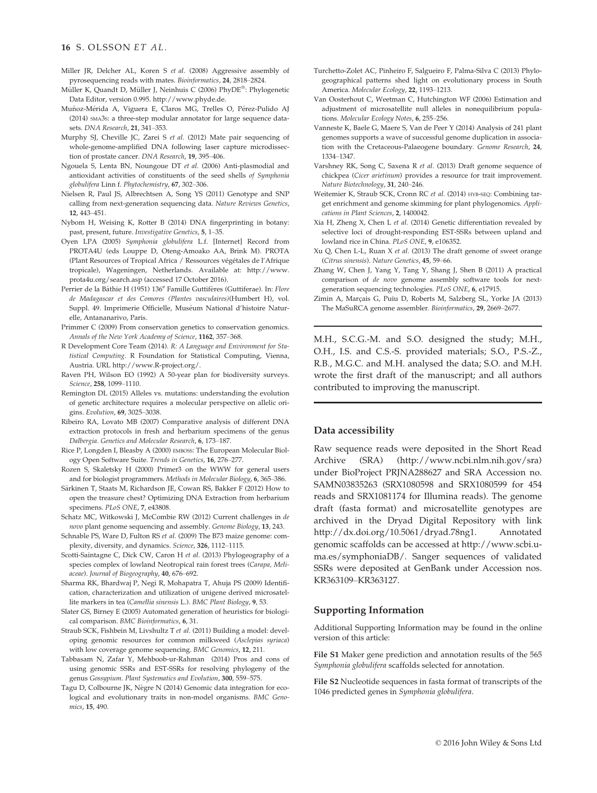- Miller JR, Delcher AL, Koren S et al. (2008) Aggressive assembly of pyrosequencing reads with mates. Bioinformatics, 24, 2818–2824.
- Müller K, Quandt D, Müller J, Neinhuis C (2006) PhyDE®: Phylogenetic Data Editor, version 0.995.<http://www.phyde.de>.
- Muñoz-Mérida A, Viguera E, Claros MG, Trelles O, Pérez-Pulido AJ (2014) SMA3S: a three-step modular annotator for large sequence datasets. DNA Research, 21, 341–353.
- Murphy SJ, Cheville JC, Zarei S et al. (2012) Mate pair sequencing of whole-genome-amplified DNA following laser capture microdissection of prostate cancer. DNA Research, 19, 395–406.
- Ngouela S, Lenta BN, Noungoue DT et al. (2006) Anti-plasmodial and antioxidant activities of constituents of the seed shells of Symphonia globulifera Linn f. Phytochemistry, 67, 302–306.
- Nielsen R, Paul JS, Albrechtsen A, Song YS (2011) Genotype and SNP calling from next-generation sequencing data. Nature Reviews Genetics, 12, 443–451.
- Nybom H, Weising K, Rotter B (2014) DNA fingerprinting in botany: past, present, future. Investigative Genetics, 5, 1–35.
- Oyen LPA (2005) Symphonia globulifera L.f. [Internet] Record from PROTA4U (eds Louppe D, Oteng-Amoako AA, Brink M). PROTA (Plant Resources of Tropical Africa / Ressources végétales de l'Afrique tropicale), Wageningen, Netherlands. Available at: [http://www.](http://www.prota4u.org/search.asp) [prota4u.org/search.asp](http://www.prota4u.org/search.asp) (accessed 17 October 2016).
- Perrier de la Bâthie H (1951) 136<sup>e</sup> Famille Guttifères (Guttiferae). In: Flore de Madagascar et des Comores (Plantes vasculaires)(Humbert H), vol. Suppl. 49. Imprimerie Officielle, Muséum National d'histoire Naturelle, Antananarivo, Paris.
- Primmer C (2009) From conservation genetics to conservation genomics. Annals of the New York Academy of Science, 1162, 357–368.
- R Development Core Team (2014). R: A Language and Environment for Statistical Computing. R Foundation for Statistical Computing, Vienna, Austria. URL [http://www.R-project.org/.](http://www.R-project.org/)
- Raven PH, Wilson EO (1992) A 50-year plan for biodiversity surveys. Science, 258, 1099–1110.
- Remington DL (2015) Alleles vs. mutations: understanding the evolution of genetic architecture requires a molecular perspective on allelic origins. Evolution, 69, 3025–3038.
- Ribeiro RA, Lovato MB (2007) Comparative analysis of different DNA extraction protocols in fresh and herbarium specimens of the genus Dalbergia. Genetics and Molecular Research, 6, 173–187.
- Rice P, Longden I, Bleasby A (2000) EMBOSS: The European Molecular Biology Open Software Suite. Trends in Genetics, 16, 276–277.
- Rozen S, Skaletsky H (2000) Primer3 on the WWW for general users and for biologist programmers. Methods in Molecular Biology, 6, 365–386.
- Särkinen T, Staats M, Richardson JE, Cowan RS, Bakker F (2012) How to open the treasure chest? Optimizing DNA Extraction from herbarium specimens. PLoS ONE, 7, e43808.
- Schatz MC, Witkowski J, McCombie RW (2012) Current challenges in de novo plant genome sequencing and assembly. Genome Biology, 13, 243.
- Schnable PS, Ware D, Fulton RS et al. (2009) The B73 maize genome: complexity, diversity, and dynamics. Science, 326, 1112–1115.
- Scotti-Saintagne C, Dick CW, Caron H et al. (2013) Phylogeography of a species complex of lowland Neotropical rain forest trees (Carapa, Meliaceae). Journal of Biogeography, 40, 676–692.
- Sharma RK, Bhardwaj P, Negi R, Mohapatra T, Ahuja PS (2009) Identification, characterization and utilization of unigene derived microsatellite markers in tea (Camellia sinensis L.). BMC Plant Biology, 9, 53.
- Slater GS, Birney E (2005) Automated generation of heuristics for biological comparison. BMC Bioinformatics, 6, 31.
- Straub SCK, Fishbein M, Livshultz T et al. (2011) Building a model: developing genomic resources for common milkweed (Asclepias syriaca) with low coverage genome sequencing. BMC Genomics, 12, 211.
- Tabbasam N, Zafar Y, Mehboob-ur-Rahman (2014) Pros and cons of using genomic SSRs and EST-SSRs for resolving phylogeny of the genus Gossypium. Plant Systematics and Evolution, 300, 559–575.
- Tagu D, Colbourne JK, Nègre N (2014) Genomic data integration for ecological and evolutionary traits in non-model organisms. BMC Genomics, 15, 490.
- Turchetto-Zolet AC, Pinheiro F, Salgueiro F, Palma-Silva C (2013) Phylogeographical patterns shed light on evolutionary process in South America. Molecular Ecology, 22, 1193–1213.
- Van Oosterhout C, Weetman C, Hutchington WF (2006) Estimation and adjustment of microsatellite null alleles in nonequilibrium populations. Molecular Ecology Notes, 6, 255-256.
- Vanneste K, Baele G, Maere S, Van de Peer Y (2014) Analysis of 241 plant genomes supports a wave of successful genome duplication in association with the Cretaceous-Palaeogene boundary. Genome Research, 24, 1334–1347.
- Varshney RK, Song C, Saxena R et al. (2013) Draft genome sequence of chickpea (Cicer arietinum) provides a resource for trait improvement. Nature Biotechnology, 31, 240–246.
- Weitemier K, Straub SCK, Cronn RC et al. (2014) HYB-SEQ: Combining target enrichment and genome skimming for plant phylogenomics. Applications in Plant Sciences, 2, 1400042.
- Xia H, Zheng X, Chen L et al. (2014) Genetic differentiation revealed by selective loci of drought-responding EST-SSRs between upland and lowland rice in China. PLoS ONE, 9, e106352.
- Xu Q, Chen L-L, Ruan X et al. (2013) The draft genome of sweet orange (Citrus sinensis). Nature Genetics, 45, 59–66.
- Zhang W, Chen J, Yang Y, Tang Y, Shang J, Shen B (2011) A practical comparison of de novo genome assembly software tools for nextgeneration sequencing technologies. PLoS ONE, 6, e17915.
- Zimin A, Marcais G, Puiu D, Roberts M, Salzberg SL, Yorke JA (2013) The MaSuRCA genome assembler. Bioinformatics, 29, 2669–2677.

M.H., S.C.G.-M. and S.O. designed the study; M.H., O.H., I.S. and C.S.-S. provided materials; S.O., P.S.-Z., R.B., M.G.C. and M.H. analysed the data; S.O. and M.H. wrote the first draft of the manuscript; and all authors contributed to improving the manuscript.

# Data accessibility

Raw sequence reads were deposited in the Short Read Archive (SRA) [\(http://www.ncbi.nlm.nih.gov/sra\)](http://www.ncbi.nlm.nih.gov/sra) under BioProject PRJNA288627 and SRA Accession no. SAMN03835263 (SRX1080598 and SRX1080599 for 454 reads and SRX1081174 for Illumina reads). The genome draft (fasta format) and microsatellite genotypes are archived in the Dryad Digital Repository with link [http://dx.doi.org/10.5061/dryad.78ng1.](http://dx.doi.org/10.5061/dryad.78ng1) Annotated genomic scaffolds can be accessed at [http://www.scbi.u](http://www.scbi.uma.es/symphoniaDB/)[ma.es/symphoniaDB/.](http://www.scbi.uma.es/symphoniaDB/) Sanger sequences of validated SSRs were deposited at GenBank under Accession nos. [KR363109](http://www.ncbi.nlm.nih.gov/nuccore/KR363109)–[KR363127.](http://www.ncbi.nlm.nih.gov/nuccore/KR363127)

### Supporting Information

Additional Supporting Information may be found in the online version of this article:

File S1 Maker gene prediction and annotation results of the 565 Symphonia globulifera scaffolds selected for annotation.

File S2 Nucleotide sequences in fasta format of transcripts of the 1046 predicted genes in Symphonia globulifera.